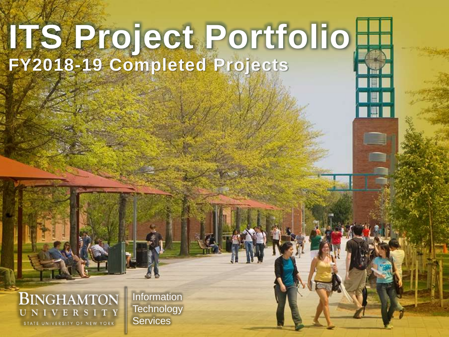# ITS Poject Portfolio **FY2018-19 Completed Projects**

#### **BINGHAMTON** UNIVERSITY STATE UNIVERSITY OF NEW YORK

**Information Technology Services**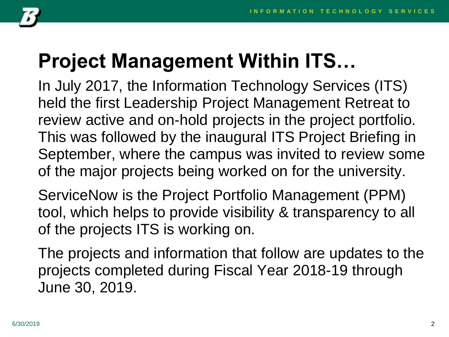

## **Project Management Within ITS…**

In July 2017, the Information Technology Services (ITS) held the first Leadership Project Management Retreat to review active and on-hold projects in the project portfolio. This was followed by the inaugural ITS Project Briefing in September, where the campus was invited to review some of the major projects being worked on for the university.

ServiceNow is the Project Portfolio Management (PPM) tool, which helps to provide visibility & transparency to all of the projects ITS is working on.

The projects and information that follow are updates to the projects completed during Fiscal Year 2018-19 through June 30, 2019.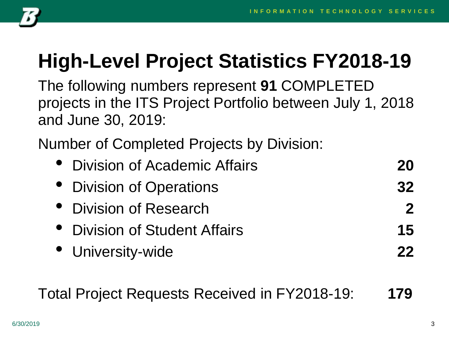

## **High-Level Project Statistics FY2018-19**

The following numbers represent **91** COMPLETED projects in the ITS Project Portfolio between July 1, 2018 and June 30, 2019:

Number of Completed Projects by Division:

| <b>Division of Academic Affairs</b><br>$\bullet$ | 20           |
|--------------------------------------------------|--------------|
| • Division of Operations                         | 32           |
| • Division of Research                           | $\mathbf{P}$ |
| • Division of Student Affairs                    | 15           |
| • University-wide                                | 22           |

Total Project Requests Received in FY2018-19: **179**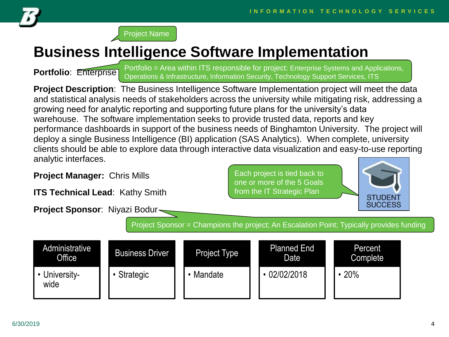



### **Business Intelligence Software Implementation**

**Portfolio: Enterprise** 

Portfolio = Area within ITS responsible for project: Enterprise Systems and Applications, Operations & Infrastructure, Information Security, Technology Support Services, ITS

**Project Description**: The Business Intelligence Software Implementation project will meet the data and statistical analysis needs of stakeholders across the university while mitigating risk, addressing a growing need for analytic reporting and supporting future plans for the university's data warehouse. The software implementation seeks to provide trusted data, reports and key performance dashboards in support of the business needs of Binghamton University. The project will deploy a single Business Intelligence (BI) application (SAS Analytics). When complete, university clients should be able to explore data through interactive data visualization and easy-to-use reporting analytic interfaces.

**Project Manager:** Chris Mills

**ITS Technical Lead**: Kathy Smith

**Project Sponsor**: Niyazi Bodur

Each project is tied back to one or more of the 5 Goals from the IT Strategic Plan



Project Sponsor = Champions the project; An Escalation Point; Typically provides funding

| Administrative<br>Office <sup>1</sup> | <b>Business Driver</b> | <b>Project Type</b> | <b>Planned End</b><br>Date | Percent<br>Complete |
|---------------------------------------|------------------------|---------------------|----------------------------|---------------------|
| University-<br>wide                   | Strategic              | Mandate             | 02/02/2018                 | 20%                 |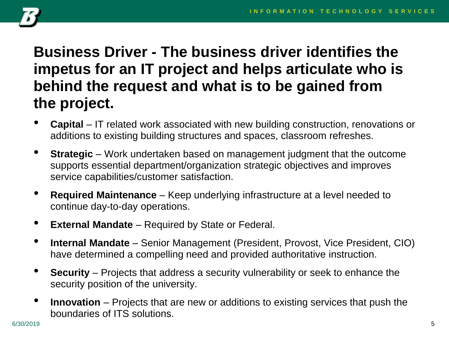

#### **Business Driver - The business driver identifies the impetus for an IT project and helps articulate who is behind the request and what is to be gained from the project.**

- **Capital** IT related work associated with new building construction, renovations or additions to existing building structures and spaces, classroom refreshes.
- **Strategic** Work undertaken based on management judgment that the outcome supports essential department/organization strategic objectives and improves service capabilities/customer satisfaction.
- **Required Maintenance**  Keep underlying infrastructure at a level needed to continue day-to-day operations.
- **External Mandate** Required by State or Federal.
- **Internal Mandate**  Senior Management (President, Provost, Vice President, CIO) have determined a compelling need and provided authoritative instruction.
- **Security** Projects that address a security vulnerability or seek to enhance the security position of the university.
- **Innovation**  Projects that are new or additions to existing services that push the boundaries of ITS solutions.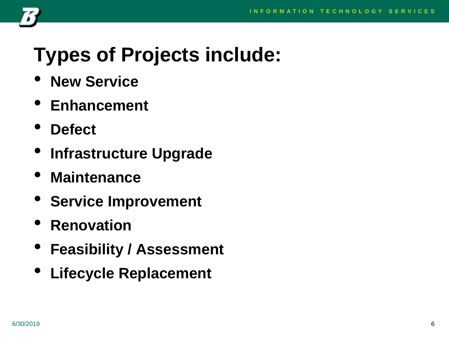

## **Types of Projects include:**

- **New Service**
- **Enhancement**
- **Defect**
- **Infrastructure Upgrade**
- **Maintenance**
- **Service Improvement**
- **Renovation**
- **Feasibility / Assessment**
- **Lifecycle Replacement**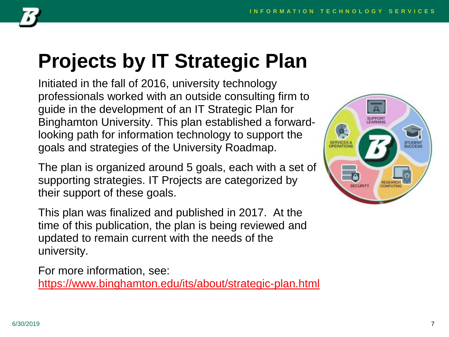

## **Projects by IT Strategic Plan**

Initiated in the fall of 2016, university technology professionals worked with an outside consulting firm to guide in the development of an IT Strategic Plan for Binghamton University. This plan established a forwardlooking path for information technology to support the goals and strategies of the University Roadmap.

The plan is organized around 5 goals, each with a set of supporting strategies. IT Projects are categorized by their support of these goals.

This plan was finalized and published in 2017. At the time of this publication, the plan is being reviewed and updated to remain current with the needs of the university.

For more information, see: <https://www.binghamton.edu/its/about/strategic-plan.html>

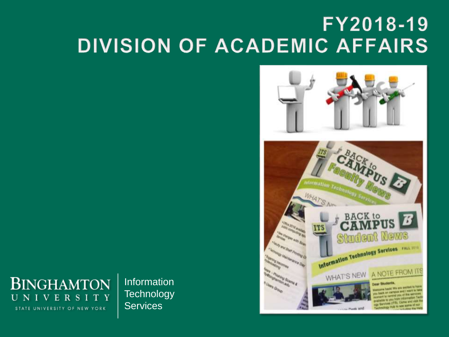### FY2018-19 **DIVISION OF ACADEMIC AFFAIRS**





Information **Technology Services**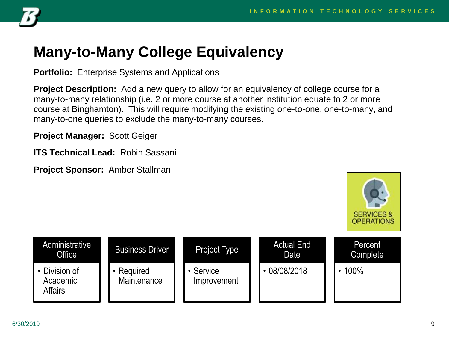

#### **Many-to-Many College Equivalency**

**Portfolio:** Enterprise Systems and Applications

**Project Description:** Add a new query to allow for an equivalency of college course for a many-to-many relationship (i.e. 2 or more course at another institution equate to 2 or more course at Binghamton). This will require modifying the existing one-to-one, one-to-many, and many-to-one queries to exclude the many-to-many courses.

**Project Manager:** Scott Geiger

**ITS Technical Lead:** Robin Sassani

**Project Sponsor:** Amber Stallman



| Administrative<br>Office                    | <b>Business Driver</b>  | <b>Project Type</b>      | <b>Actual End</b><br>Date | Percent<br>Complete |
|---------------------------------------------|-------------------------|--------------------------|---------------------------|---------------------|
| • Division of<br>Academic<br><b>Affairs</b> | Required<br>Maintenance | • Service<br>Improvement | 08/08/2018                | 100%                |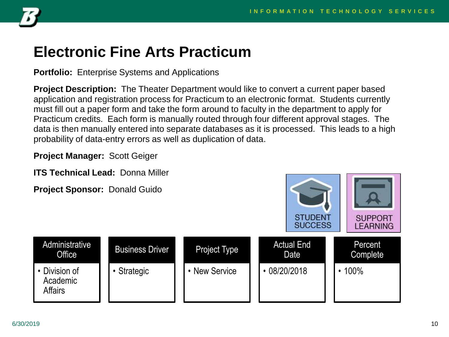

#### **Electronic Fine Arts Practicum**

**Portfolio:** Enterprise Systems and Applications

**Project Description:** The Theater Department would like to convert a current paper based application and registration process for Practicum to an electronic format. Students currently must fill out a paper form and take the form around to faculty in the department to apply for Practicum credits. Each form is manually routed through four different approval stages. The data is then manually entered into separate databases as it is processed. This leads to a high probability of data-entry errors as well as duplication of data.

**Project Manager:** Scott Geiger

**ITS Technical Lead:** Donna Miller

| Project Sponsor: Donald Guido               |                        |               | <b>STUDENT</b><br><b>SUCCESS</b> | <b>SUPPORT</b><br><b>LEARNING</b> |
|---------------------------------------------|------------------------|---------------|----------------------------------|-----------------------------------|
| Administrative<br>Office                    | <b>Business Driver</b> | Project Type  | <b>Actual End</b><br>Date        | Percent<br>Complete               |
| • Division of<br>Academic<br><b>Affairs</b> | • Strategic            | • New Service | $\cdot$ 08/20/2018               | $\cdot$ 100%                      |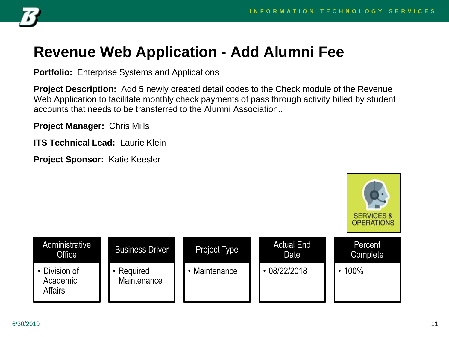

### **Revenue Web Application - Add Alumni Fee**

**Portfolio:** Enterprise Systems and Applications

**Project Description:** Add 5 newly created detail codes to the Check module of the Revenue Web Application to facilitate monthly check payments of pass through activity billed by student accounts that needs to be transferred to the Alumni Association..

**Project Manager:** Chris Mills

**ITS Technical Lead:** Laurie Klein

**Project Sponsor:** Katie Keesler

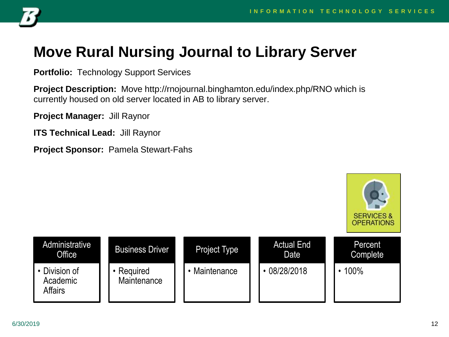

### **Move Rural Nursing Journal to Library Server**

**Portfolio:** Technology Support Services

**Project Description:** Move http://rnojournal.binghamton.edu/index.php/RNO which is currently housed on old server located in AB to library server.

**Project Manager:** Jill Raynor

**ITS Technical Lead:** Jill Raynor

**Project Sponsor:** Pamela Stewart-Fahs

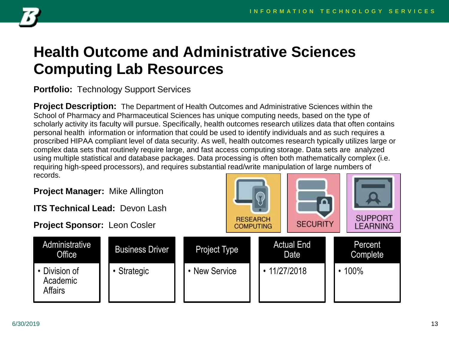

#### **Health Outcome and Administrative Sciences Computing Lab Resources**

#### **Portfolio:** Technology Support Services

**Project Description:** The Department of Health Outcomes and Administrative Sciences within the School of Pharmacy and Pharmaceutical Sciences has unique computing needs, based on the type of scholarly activity its faculty will pursue. Specifically, health outcomes research utilizes data that often contains personal health information or information that could be used to identify individuals and as such requires a proscribed HIPAA compliant level of data security. As well, health outcomes research typically utilizes large or complex data sets that routinely require large, and fast access computing storage. Data sets are analyzed using multiple statistical and database packages. Data processing is often both mathematically complex (i.e. requiring high-speed processors), and requires substantial read/write manipulation of large numbers of records.

**Project Manager:** Mike Allington

**ITS Technical Lead:** Devon Lash

Business Driver

• Strategic

**Project Sponsor:** Leon Cosler

**Administrative Office** 

• Division of Academic **Affairs** 

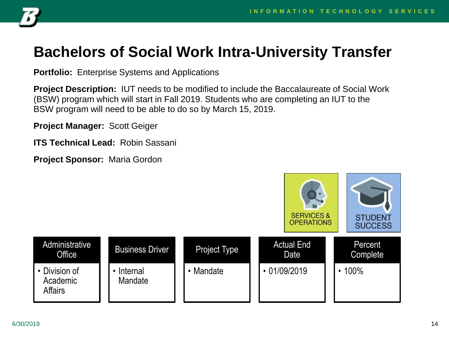

#### **Bachelors of Social Work Intra-University Transfer**

**Portfolio:** Enterprise Systems and Applications

**Project Description:** IUT needs to be modified to include the Baccalaureate of Social Work (BSW) program which will start in Fall 2019. Students who are completing an IUT to the BSW program will need to be able to do so by March 15, 2019.

**Project Manager:** Scott Geiger

**ITS Technical Lead:** Robin Sassani

**Project Sponsor:** Maria Gordon

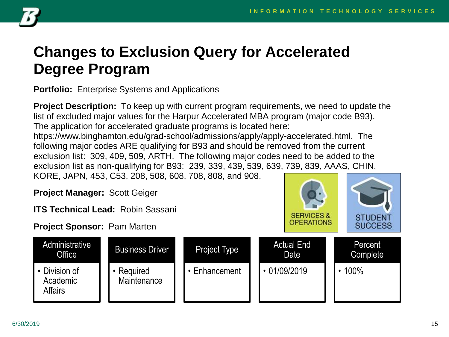**SERVICES &** 

OPERATIONS

**STUDENT** 

**SUCCESS** 



### **Changes to Exclusion Query for Accelerated Degree Program**

**Portfolio:** Enterprise Systems and Applications

**Project Description:** To keep up with current program requirements, we need to update the list of excluded major values for the Harpur Accelerated MBA program (major code B93). The application for accelerated graduate programs is located here: https://www.binghamton.edu/grad-school/admissions/apply/apply-accelerated.html. The following major codes ARE qualifying for B93 and should be removed from the current exclusion list: 309, 409, 509, ARTH. The following major codes need to be added to the exclusion list as non-qualifying for B93: 239, 339, 439, 539, 639, 739, 839, AAAS, CHIN, KORE, JAPN, 453, C53, 208, 508, 608, 708, 808, and 908.

**Project Manager:** Scott Geiger

**ITS Technical Lead:** Robin Sassani

**Project Sponsor:** Pam Marten

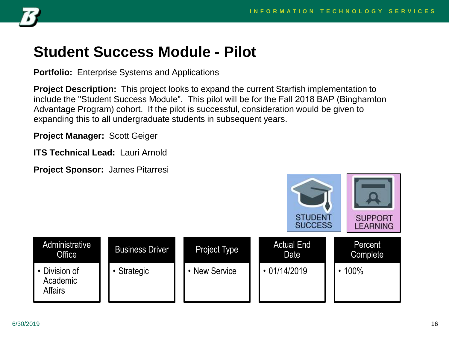

#### **Student Success Module - Pilot**

**Portfolio:** Enterprise Systems and Applications

**Project Description:** This project looks to expand the current Starfish implementation to include the "Student Success Module". This pilot will be for the Fall 2018 BAP (Binghamton Advantage Program) cohort. If the pilot is successful, consideration would be given to expanding this to all undergraduate students in subsequent years.

**Project Manager:** Scott Geiger

**ITS Technical Lead:** Lauri Arnold

**Project Sponsor:** James Pitarresi

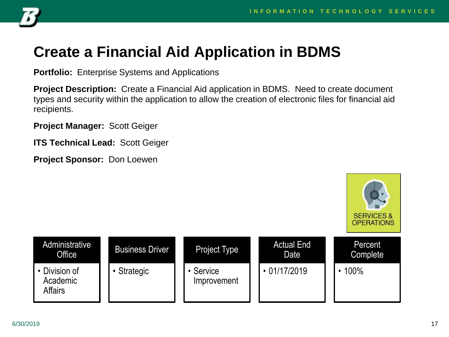

### **Create a Financial Aid Application in BDMS**

**Portfolio:** Enterprise Systems and Applications

**Project Description:** Create a Financial Aid application in BDMS. Need to create document types and security within the application to allow the creation of electronic files for financial aid recipients.

**Project Manager:** Scott Geiger

**ITS Technical Lead:** Scott Geiger

**Project Sponsor:** Don Loewen

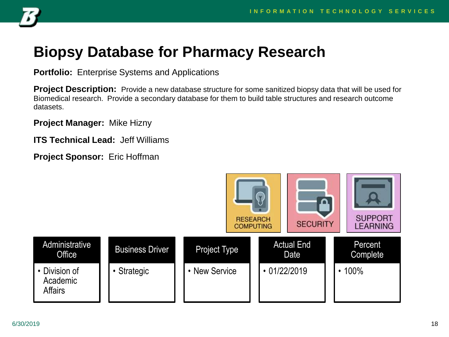

#### **Biopsy Database for Pharmacy Research**

**Portfolio:** Enterprise Systems and Applications

**Project Description:** Provide a new database structure for some sanitized biopsy data that will be used for Biomedical research. Provide a secondary database for them to build table structures and research outcome datasets.

**Project Manager:** Mike Hizny

**ITS Technical Lead:** Jeff Williams

**Project Sponsor:** Eric Hoffman

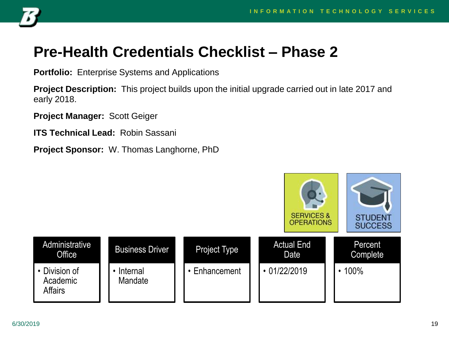

#### **Pre-Health Credentials Checklist – Phase 2**

**Portfolio:** Enterprise Systems and Applications

**Project Description:** This project builds upon the initial upgrade carried out in late 2017 and early 2018.

**Project Manager:** Scott Geiger

**ITS Technical Lead:** Robin Sassani

**Project Sponsor:** W. Thomas Langhorne, PhD

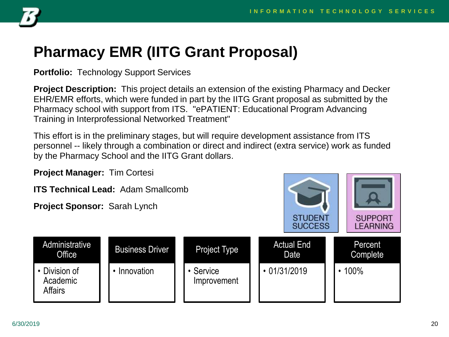

#### **Pharmacy EMR (IITG Grant Proposal)**

**Portfolio:** Technology Support Services

**Project Description:** This project details an extension of the existing Pharmacy and Decker EHR/EMR efforts, which were funded in part by the IITG Grant proposal as submitted by the Pharmacy school with support from ITS. "ePATIENT: Educational Program Advancing Training in Interprofessional Networked Treatment"

This effort is in the preliminary stages, but will require development assistance from ITS personnel -- likely through a combination or direct and indirect (extra service) work as funded by the Pharmacy School and the IITG Grant dollars.

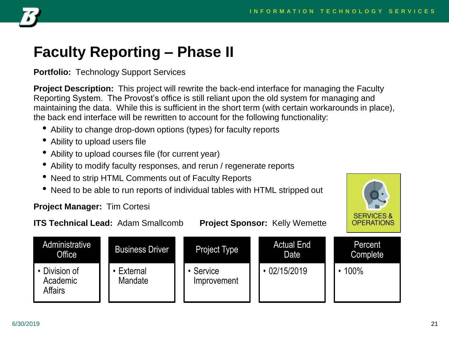

#### **Faculty Reporting – Phase II**

**Portfolio:** Technology Support Services

**Project Description:** This project will rewrite the back-end interface for managing the Faculty Reporting System. The Provost's office is still reliant upon the old system for managing and maintaining the data. While this is sufficient in the short term (with certain workarounds in place), the back end interface will be rewritten to account for the following functionality:

- Ability to change drop-down options (types) for faculty reports
- Ability to upload users file
- Ability to upload courses file (for current year)
- Ability to modify faculty responses, and rerun / regenerate reports
- Need to strip HTML Comments out of Faculty Reports
- Need to be able to run reports of individual tables with HTML stripped out

#### **Project Manager:** Tim Cortesi

**SERVICES & OPERATIONS** 

**ITS Technical Lead:** Adam Smallcomb **Project Sponsor:** Kelly Wemette

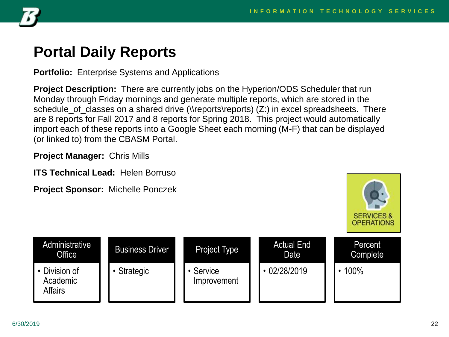

#### **Portal Daily Reports**

**Portfolio:** Enterprise Systems and Applications

**Project Description:** There are currently jobs on the Hyperion/ODS Scheduler that run Monday through Friday mornings and generate multiple reports, which are stored in the schedule\_of\_classes on a shared drive (\\reports\reports) (Z:) in excel spreadsheets. There are 8 reports for Fall 2017 and 8 reports for Spring 2018. This project would automatically import each of these reports into a Google Sheet each morning (M-F) that can be displayed (or linked to) from the CBASM Portal.

**Project Manager:** Chris Mills

**ITS Technical Lead:** Helen Borruso

**Project Sponsor:** Michelle Ponczek



| Administrative<br>Office                    | <b>Business Driver</b> | <b>Project Type</b>    | <b>Actual End</b><br>Date | Percent<br>Complete |
|---------------------------------------------|------------------------|------------------------|---------------------------|---------------------|
| • Division of<br>Academic<br><b>Affairs</b> | Strategic              | Service<br>Improvement | 02/28/2019                | 100%                |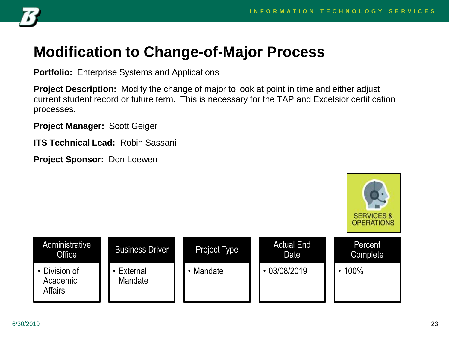

#### **Modification to Change-of-Major Process**

**Portfolio:** Enterprise Systems and Applications

**Project Description:** Modify the change of major to look at point in time and either adjust current student record or future term. This is necessary for the TAP and Excelsior certification processes.

**Project Manager:** Scott Geiger

**ITS Technical Lead:** Robin Sassani

**Project Sponsor:** Don Loewen

**SERVICES & OPERATIONS Administrative** Actual End **Percent** Business Driver Project Type **Office** Date **Complete** • 03/08/2019 • 100% • Division of • External • Mandate Academic Mandate **Affairs**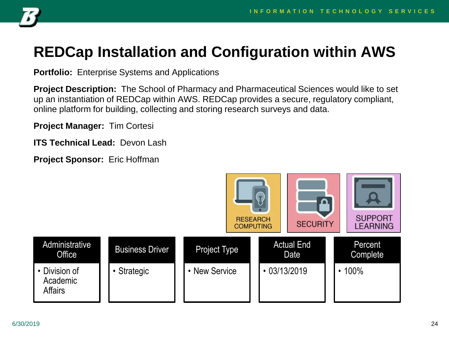

### **REDCap Installation and Configuration within AWS**

**Portfolio:** Enterprise Systems and Applications

**Project Description:** The School of Pharmacy and Pharmaceutical Sciences would like to set up an instantiation of REDCap within AWS. REDCap provides a secure, regulatory compliant, online platform for building, collecting and storing research surveys and data.

**Project Manager:** Tim Cortesi

**ITS Technical Lead:** Devon Lash

**Project Sponsor:** Eric Hoffman

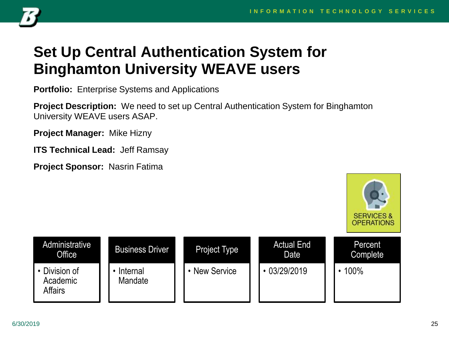

### **Set Up Central Authentication System for Binghamton University WEAVE users**

**Portfolio:** Enterprise Systems and Applications

**Project Description:** We need to set up Central Authentication System for Binghamton University WEAVE users ASAP.

**Project Manager:** Mike Hizny

**ITS Technical Lead:** Jeff Ramsay

**Project Sponsor:** Nasrin Fatima



| Administrative<br>Office                    | <b>Business Driver</b> | <b>Project Type</b> | <b>Actual End</b><br>Date | Percent<br>Complete |
|---------------------------------------------|------------------------|---------------------|---------------------------|---------------------|
| • Division of<br>Academic<br><b>Affairs</b> | Internal<br>Mandate    | <b>New Service</b>  | $\cdot$ 03/29/2019        | 100%                |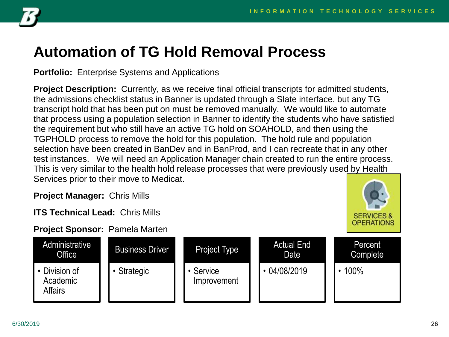

#### **Automation of TG Hold Removal Process**

**Portfolio:** Enterprise Systems and Applications

**Project Description:** Currently, as we receive final official transcripts for admitted students, the admissions checklist status in Banner is updated through a Slate interface, but any TG transcript hold that has been put on must be removed manually. We would like to automate that process using a population selection in Banner to identify the students who have satisfied the requirement but who still have an active TG hold on SOAHOLD, and then using the TGPHOLD process to remove the hold for this population. The hold rule and population selection have been created in BanDev and in BanProd, and I can recreate that in any other test instances. We will need an Application Manager chain created to run the entire process. This is very similar to the health hold release processes that were previously used by Health Services prior to their move to Medicat.

**Project Manager:** Chris Mills

**ITS Technical Lead:** Chris Mills

**Project Sponsor:** Pamela Marten



| Administrative<br>Office                    | <b>Business Driver</b> | <b>Project Type</b>      | <b>Actual End</b><br>Date | Percent<br>Complete |
|---------------------------------------------|------------------------|--------------------------|---------------------------|---------------------|
| • Division of<br>Academic<br><b>Affairs</b> | • Strategic            | • Service<br>Improvement | 04/08/2019                | 100%                |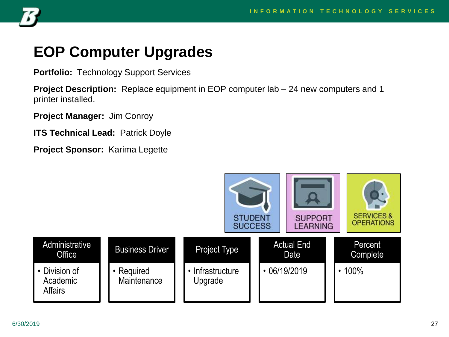

#### **EOP Computer Upgrades**

**Portfolio:** Technology Support Services

**Project Description:** Replace equipment in EOP computer lab – 24 new computers and 1 printer installed.

**Project Manager:** Jim Conroy

**ITS Technical Lead: Patrick Doyle** 

**Project Sponsor:** Karima Legette

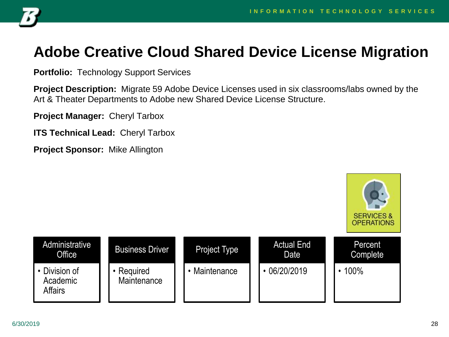

#### **Adobe Creative Cloud Shared Device License Migration**

**Portfolio:** Technology Support Services

**Project Description:** Migrate 59 Adobe Device Licenses used in six classrooms/labs owned by the Art & Theater Departments to Adobe new Shared Device License Structure.

**Project Manager:** Cheryl Tarbox

**ITS Technical Lead:** Cheryl Tarbox

**Project Sponsor:** Mike Allington

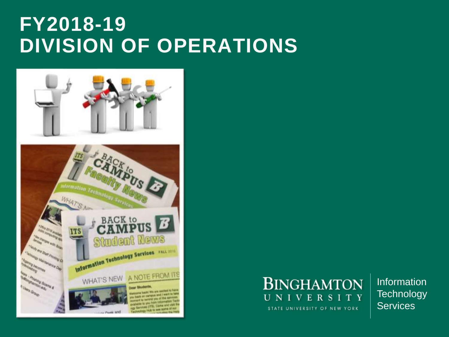### **FY2018-19 DIVISION OF OPERATIONS**





Information **Technology Services**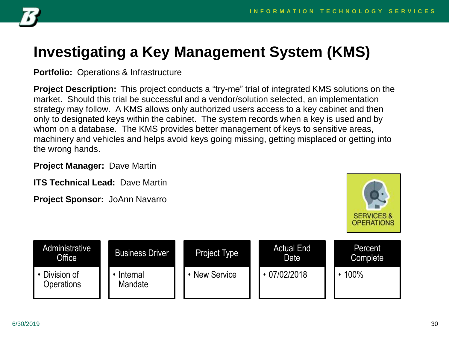

### **Investigating a Key Management System (KMS)**

**Portfolio:** Operations & Infrastructure

**Project Description:** This project conducts a "try-me" trial of integrated KMS solutions on the market. Should this trial be successful and a vendor/solution selected, an implementation strategy may follow. A KMS allows only authorized users access to a key cabinet and then only to designated keys within the cabinet. The system records when a key is used and by whom on a database. The KMS provides better management of keys to sensitive areas, machinery and vehicles and helps avoid keys going missing, getting misplaced or getting into the wrong hands.

**Project Manager:** Dave Martin

**ITS Technical Lead:** Dave Martin

**Project Sponsor:** JoAnn Navarro



| Administrative<br>Office  | <b>Business Driver</b> | <b>Project Type</b> | <b>Actual End</b><br>Date | Percent<br>Complete |
|---------------------------|------------------------|---------------------|---------------------------|---------------------|
| Division of<br>Operations | Internal<br>Mandate    | <b>New Service</b>  | 07/02/2018                | 100%                |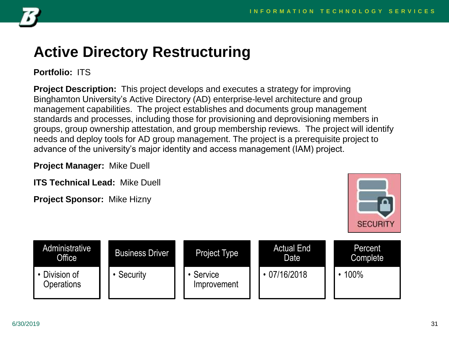

#### **Active Directory Restructuring**

**Portfolio:** ITS

**Project Description:** This project develops and executes a strategy for improving Binghamton University's Active Directory (AD) enterprise-level architecture and group management capabilities. The project establishes and documents group management standards and processes, including those for provisioning and deprovisioning members in groups, group ownership attestation, and group membership reviews. The project will identify needs and deploy tools for AD group management. The project is a prerequisite project to advance of the university's major identity and access management (IAM) project.

**Project Manager:** Mike Duell

**ITS Technical Lead:** Mike Duell

**Project Sponsor:** Mike Hizny



| Administrative<br>Office <sup>1</sup> | <b>Business Driver</b> | Project Type           | <b>Actual End</b><br>Date | Percent<br>Complete |
|---------------------------------------|------------------------|------------------------|---------------------------|---------------------|
| • Division of<br>Operations           | Security               | Service<br>Improvement | $\cdot$ 07/16/2018        | 100%                |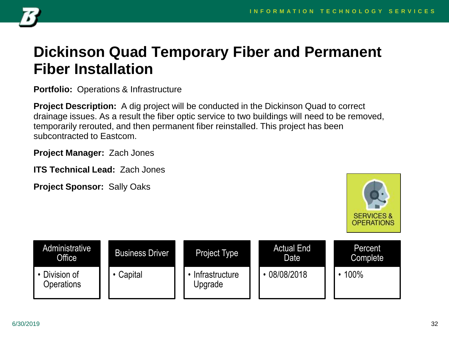

#### **Dickinson Quad Temporary Fiber and Permanent Fiber Installation**

**Portfolio:** Operations & Infrastructure

**Project Description:** A dig project will be conducted in the Dickinson Quad to correct drainage issues. As a result the fiber optic service to two buildings will need to be removed, temporarily rerouted, and then permanent fiber reinstalled. This project has been subcontracted to Eastcom.

**Project Manager:** Zach Jones

**ITS Technical Lead:** Zach Jones

**Project Sponsor:** Sally Oaks



| Administrative<br>Office         | <b>Business Driver</b> | <b>Project Type</b>       | <b>Actual End</b><br>Date | Percent<br>Complete |
|----------------------------------|------------------------|---------------------------|---------------------------|---------------------|
| Division of<br><b>Operations</b> | Capital                | Infrastructure<br>Upgrade | 08/08/2018                | 100%                |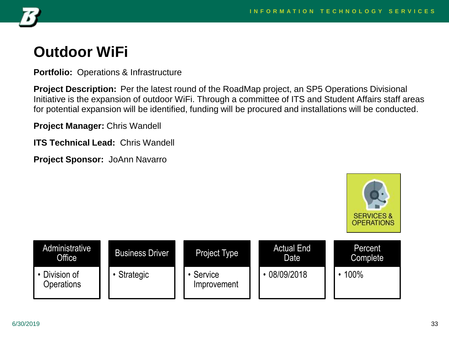

#### **Outdoor WiFi**

**Portfolio:** Operations & Infrastructure

**Project Description:** Per the latest round of the RoadMap project, an SP5 Operations Divisional Initiative is the expansion of outdoor WiFi. Through a committee of ITS and Student Affairs staff areas for potential expansion will be identified, funding will be procured and installations will be conducted.

**Project Manager:** Chris Wandell

**ITS Technical Lead:** Chris Wandell

**Project Sponsor:** JoAnn Navarro



| Administrative<br><b>Office</b> | <b>Business Driver</b> | Project Type           | <b>Actual End</b><br>Date | Percent<br>Complete |
|---------------------------------|------------------------|------------------------|---------------------------|---------------------|
| Division of<br>Operations       | Strategic              | Service<br>Improvement | 08/09/2018                | 100%                |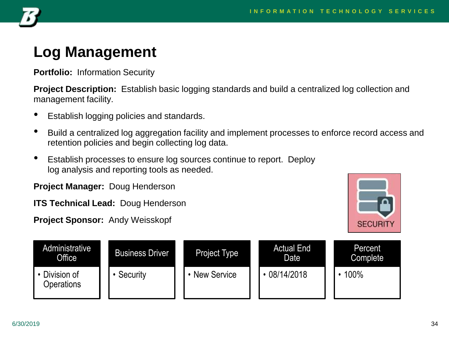

#### **Log Management**

**Portfolio:** Information Security

**Project Description:** Establish basic logging standards and build a centralized log collection and management facility.

- Establish logging policies and standards.
- Build a centralized log aggregation facility and implement processes to enforce record access and retention policies and begin collecting log data.
- Establish processes to ensure log sources continue to report. Deploy log analysis and reporting tools as needed.

**Project Manager:** Doug Henderson

**ITS Technical Lead:** Doug Henderson

**Project Sponsor:** Andy Weisskopf



| Administrative<br>Office <sup>1</sup> | <b>Business Driver</b> | Project Type       | <b>Actual End</b><br>Date | Percent<br>Complete |
|---------------------------------------|------------------------|--------------------|---------------------------|---------------------|
| Division of<br><b>Operations</b>      | Security               | <b>New Service</b> | 08/14/2018                | 100%                |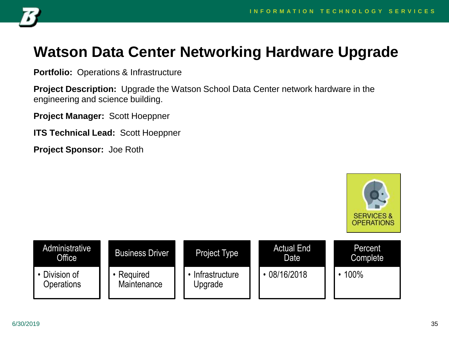

#### **Watson Data Center Networking Hardware Upgrade**

**Portfolio:** Operations & Infrastructure

**Project Description:** Upgrade the Watson School Data Center network hardware in the engineering and science building.

**Project Manager:** Scott Hoeppner

**ITS Technical Lead:** Scott Hoeppner

**Project Sponsor:** Joe Roth



| Administrative<br>Office  | <b>Business Driver</b>  | <b>Project Type</b>       | <b>Actual End</b><br>Date | Percent<br><b>Complete</b> |
|---------------------------|-------------------------|---------------------------|---------------------------|----------------------------|
| Division of<br>Operations | Required<br>Maintenance | Infrastructure<br>Upgrade | 08/16/2018                | 100%                       |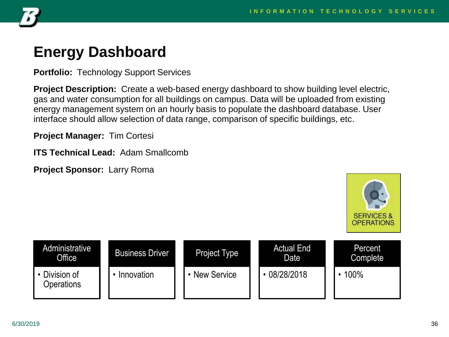

### **Energy Dashboard**

**Portfolio:** Technology Support Services

**Project Description:** Create a web-based energy dashboard to show building level electric, gas and water consumption for all buildings on campus. Data will be uploaded from existing energy management system on an hourly basis to populate the dashboard database. User interface should allow selection of data range, comparison of specific buildings, etc.

**Project Manager:** Tim Cortesi

**ITS Technical Lead:** Adam Smallcomb

**Project Sponsor:** Larry Roma



| Administrative<br>Office    | <b>Business Driver</b> | <b>Project Type</b> | <b>Actual End</b><br>Date | Percent<br>Complete |
|-----------------------------|------------------------|---------------------|---------------------------|---------------------|
| • Division of<br>Operations | Innovation             | <b>New Service</b>  | 08/28/2018                | 100%                |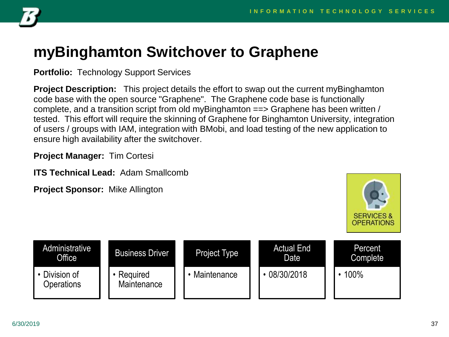

## **myBinghamton Switchover to Graphene**

**Portfolio:** Technology Support Services

**Project Description:** This project details the effort to swap out the current myBinghamton code base with the open source "Graphene". The Graphene code base is functionally complete, and a transition script from old myBinghamton ==> Graphene has been written / tested. This effort will require the skinning of Graphene for Binghamton University, integration of users / groups with IAM, integration with BMobi, and load testing of the new application to ensure high availability after the switchover.

**Project Manager:** Tim Cortesi

**ITS Technical Lead:** Adam Smallcomb

**Project Sponsor:** Mike Allington



| Administrative<br>Office  | <b>Business Driver</b>  | Project Type  | <b>Actual End</b><br>Date | Percent<br>Complete |
|---------------------------|-------------------------|---------------|---------------------------|---------------------|
| Division of<br>Operations | Required<br>Maintenance | • Maintenance | 08/30/2018                | 100%                |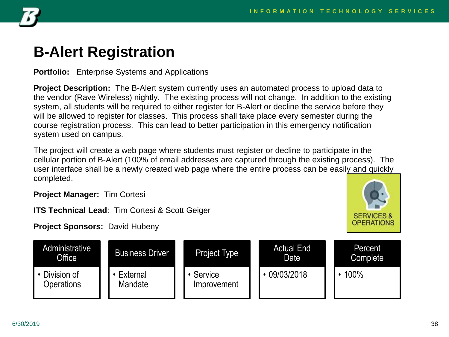

#### **B-Alert Registration**

**Portfolio:** Enterprise Systems and Applications

**Project Description:** The B-Alert system currently uses an automated process to upload data to the vendor (Rave Wireless) nightly. The existing process will not change. In addition to the existing system, all students will be required to either register for B-Alert or decline the service before they will be allowed to register for classes. This process shall take place every semester during the course registration process. This can lead to better participation in this emergency notification system used on campus.

The project will create a web page where students must register or decline to participate in the cellular portion of B-Alert (100% of email addresses are captured through the existing process). The user interface shall be a newly created web page where the entire process can be easily and quickly completed.

**Project Manager:** Tim Cortesi

**ITS Technical Lead**: Tim Cortesi & Scott Geiger

**Project Sponsors:** David Hubeny



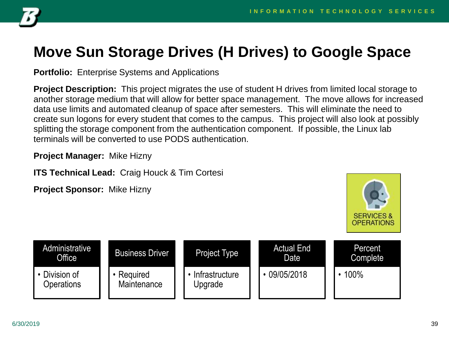

# **Move Sun Storage Drives (H Drives) to Google Space**

**Portfolio:** Enterprise Systems and Applications

**Project Description:** This project migrates the use of student H drives from limited local storage to another storage medium that will allow for better space management. The move allows for increased data use limits and automated cleanup of space after semesters. This will eliminate the need to create sun logons for every student that comes to the campus. This project will also look at possibly splitting the storage component from the authentication component. If possible, the Linux lab terminals will be converted to use PODS authentication.

**Project Manager:** Mike Hizny

**ITS Technical Lead:** Craig Houck & Tim Cortesi

**Project Sponsor:** Mike Hizny



| Administrative<br>Office  | <b>Business Driver</b>  | <b>Project Type</b>       | <b>Actual End</b><br>Date | Percent<br>Complete |
|---------------------------|-------------------------|---------------------------|---------------------------|---------------------|
| Division of<br>Operations | Required<br>Maintenance | Infrastructure<br>Upgrade | 09/05/2018                | 100%                |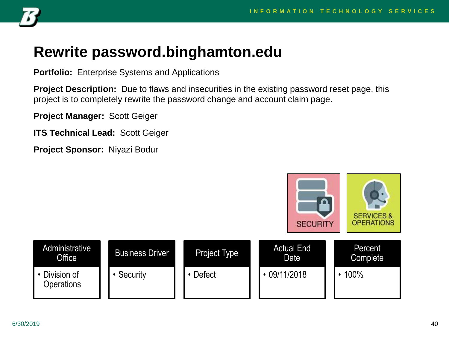

## **Rewrite password.binghamton.edu**

**Portfolio:** Enterprise Systems and Applications

**Project Description:** Due to flaws and insecurities in the existing password reset page, this project is to completely rewrite the password change and account claim page.

**Project Manager:** Scott Geiger

**ITS Technical Lead:** Scott Geiger

**Project Sponsor:** Niyazi Bodur

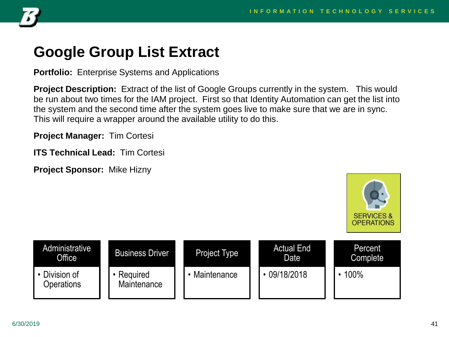

#### **Google Group List Extract**

**Portfolio:** Enterprise Systems and Applications

**Project Description:** Extract of the list of Google Groups currently in the system. This would be run about two times for the IAM project. First so that Identity Automation can get the list into the system and the second time after the system goes live to make sure that we are in sync. This will require a wrapper around the available utility to do this.

**Project Manager:** Tim Cortesi

**ITS Technical Lead:** Tim Cortesi

**Project Sponsor:** Mike Hizny



| Administrative<br>Office <sup>1</sup> | <b>Business Driver</b>  | Project Type | <b>Actual End</b><br>Date | Percent<br>Complete |
|---------------------------------------|-------------------------|--------------|---------------------------|---------------------|
| Division of<br>Operations             | Required<br>Maintenance | Maintenance  | 09/18/2018                | 100%                |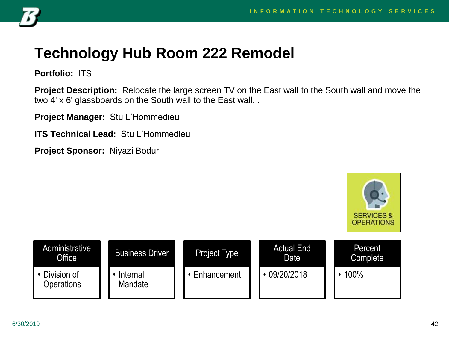

## **Technology Hub Room 222 Remodel**

**Portfolio:** ITS

**Project Description:** Relocate the large screen TV on the East wall to the South wall and move the two 4' x 6' glassboards on the South wall to the East wall. .

**Project Manager:** Stu L'Hommedieu

**ITS Technical Lead:** Stu L'Hommedieu

**Project Sponsor:** Niyazi Bodur



| <b>Administrative</b><br>Office | <b>Business Driver</b> | <b>Project Type</b> | <b>Actual End</b><br>Date | Percent<br>Complete |
|---------------------------------|------------------------|---------------------|---------------------------|---------------------|
| Division of<br>Operations       | Internal<br>Mandate    | Enhancement         | 09/20/2018                | 100%                |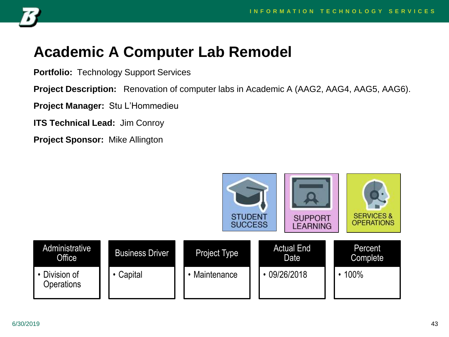

#### **Academic A Computer Lab Remodel**

**Portfolio:** Technology Support Services

**Project Description:** Renovation of computer labs in Academic A (AAG2, AAG4, AAG5, AAG6).

**Project Manager:** Stu L'Hommedieu

**ITS Technical Lead:** Jim Conroy

**Project Sponsor:** Mike Allington

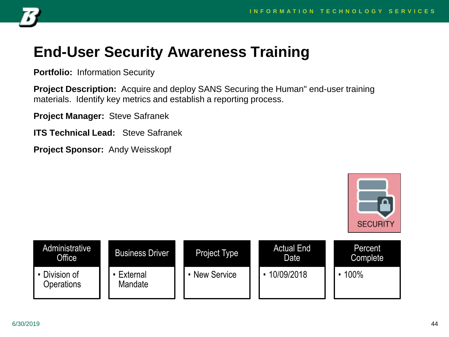

# **End-User Security Awareness Training**

**Portfolio:** Information Security

**Project Description:** Acquire and deploy SANS Securing the Human" end-user training materials. Identify key metrics and establish a reporting process.

**Project Manager:** Steve Safranek

**ITS Technical Lead:** Steve Safranek

**Project Sponsor:** Andy Weisskopf



| Administrative<br>Office    | <b>Business Driver</b> | Project Type | <b>Actual End</b><br>Date | Percent<br><b>Complete</b> |
|-----------------------------|------------------------|--------------|---------------------------|----------------------------|
| • Division of<br>Operations | External<br>Mandate    | New Service  | 10/09/2018                | 100%                       |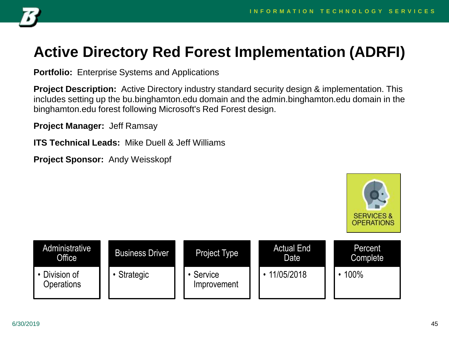

# **Active Directory Red Forest Implementation (ADRFI)**

**Portfolio:** Enterprise Systems and Applications

**Project Description:** Active Directory industry standard security design & implementation. This includes setting up the bu.binghamton.edu domain and the admin.binghamton.edu domain in the binghamton.edu forest following Microsoft's Red Forest design.

**Project Manager:** Jeff Ramsay

**ITS Technical Leads:** Mike Duell & Jeff Williams

**Project Sponsor:** Andy Weisskopf



| Administrative<br><b>Office</b> | <b>Business Driver</b> | Project Type             | <b>Actual End</b><br>Date | Percent<br>Complete |
|---------------------------------|------------------------|--------------------------|---------------------------|---------------------|
| Division of<br>Operations       | Strategic              | • Service<br>Improvement | 11/05/2018                | 100%                |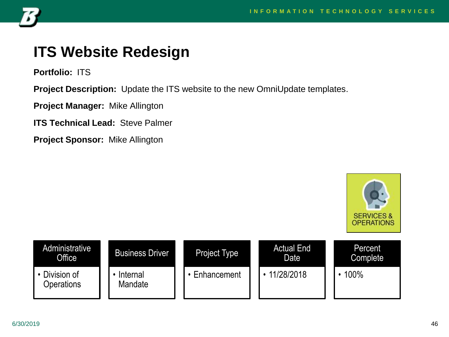**SERVICES &** 



## **ITS Website Redesign**

**Portfolio:** ITS

**Project Description:** Update the ITS website to the new OmniUpdate templates.

**Project Manager:** Mike Allington

**ITS Technical Lead:** Steve Palmer

**Project Sponsor:** Mike Allington

**OPERATIONS Administrative** Actual End **Percent** Business Driver Project Type **Office** Date **Complete** • Division of • 11/28/2018 • 100% • Internal • Enhancement **Operations Mandate**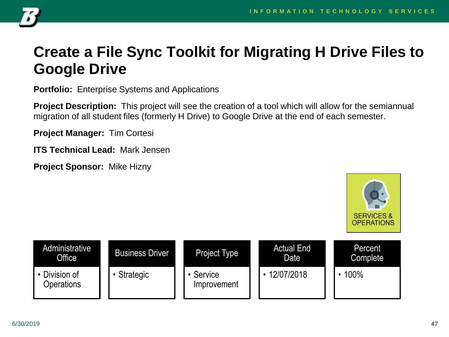

## **Create a File Sync Toolkit for Migrating H Drive Files to Google Drive**

**Portfolio:** Enterprise Systems and Applications

**Project Description:** This project will see the creation of a tool which will allow for the semiannual migration of all student files (formerly H Drive) to Google Drive at the end of each semester.

**Project Manager:** Tim Cortesi

**ITS Technical Lead:** Mark Jensen

**Project Sponsor:** Mike Hizny



| Administrative<br>Office  | <b>Business Driver</b> | Project Type             | <b>Actual End</b><br>Date <sup>'</sup> | Percent<br><b>Complete</b> |
|---------------------------|------------------------|--------------------------|----------------------------------------|----------------------------|
| Division of<br>Operations | Strategic              | • Service<br>Improvement | 12/07/2018                             | 100%                       |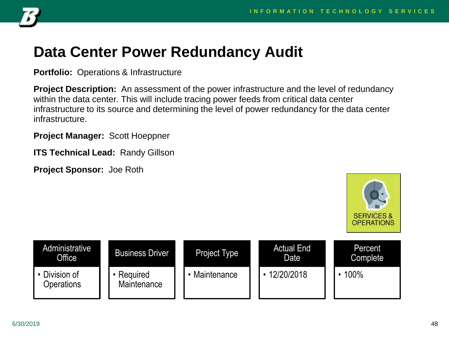

## **Data Center Power Redundancy Audit**

**Portfolio:** Operations & Infrastructure

**Project Description:** An assessment of the power infrastructure and the level of redundancy within the data center. This will include tracing power feeds from critical data center infrastructure to its source and determining the level of power redundancy for the data center infrastructure.

**Project Manager:** Scott Hoeppner

**ITS Technical Lead:** Randy Gillson



| Administrative<br>Office  | <b>Business Driver</b>  | <b>Project Type</b> | <b>Actual End</b><br>Date <sup>'</sup> | Percent<br><b>Complete</b> |
|---------------------------|-------------------------|---------------------|----------------------------------------|----------------------------|
| Division of<br>Operations | Required<br>Maintenance | • Maintenance       | 12/20/2018                             | 100%                       |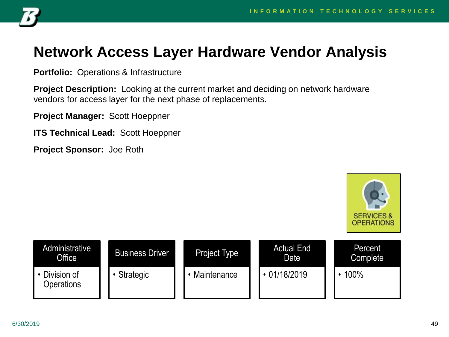

## **Network Access Layer Hardware Vendor Analysis**

**Portfolio:** Operations & Infrastructure

**Project Description:** Looking at the current market and deciding on network hardware vendors for access layer for the next phase of replacements.

**Project Manager:** Scott Hoeppner

**ITS Technical Lead:** Scott Hoeppner



| Administrative<br>Office  | <b>Business Driver</b> | <b>Project Type</b> | <b>Actual End</b><br>Date | Percent<br>Complete |
|---------------------------|------------------------|---------------------|---------------------------|---------------------|
| Division of<br>Operations | Strategic              | • Maintenance       | $\cdot$ 01/18/2019        | 100%                |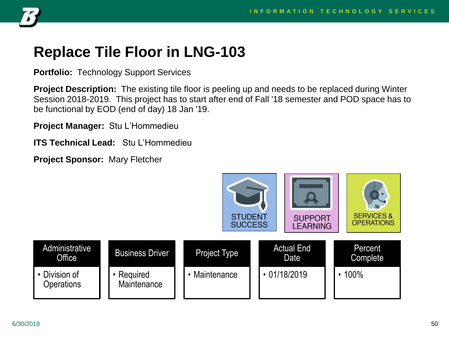

## **Replace Tile Floor in LNG-103**

**Portfolio:** Technology Support Services

**Project Description:** The existing tile floor is peeling up and needs to be replaced during Winter Session 2018-2019. This project has to start after end of Fall '18 semester and POD space has to be functional by EOD (end of day) 18 Jan '19.

**Project Manager:** Stu L'Hommedieu

**ITS Technical Lead:** Stu L'Hommedieu

**Project Sponsor:** Mary Fletcher

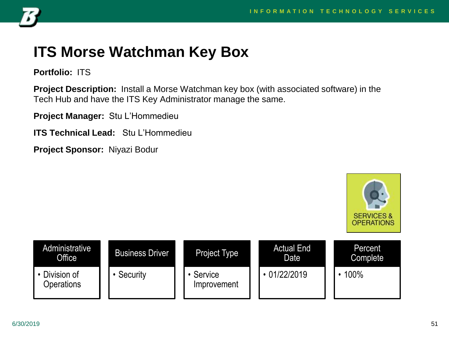

## **ITS Morse Watchman Key Box**

**Portfolio:** ITS

**Project Description:** Install a Morse Watchman key box (with associated software) in the Tech Hub and have the ITS Key Administrator manage the same.

**Project Manager:** Stu L'Hommedieu

**ITS Technical Lead:** Stu L'Hommedieu

**Project Sponsor:** Niyazi Bodur



| Administrative<br><b>Office</b> | <b>Business Driver</b> | Project Type           | <b>Actual End</b><br>Date | Percent<br>Complete |
|---------------------------------|------------------------|------------------------|---------------------------|---------------------|
| • Division of<br>Operations     | Security               | Service<br>Improvement | 01/22/2019                | 100%                |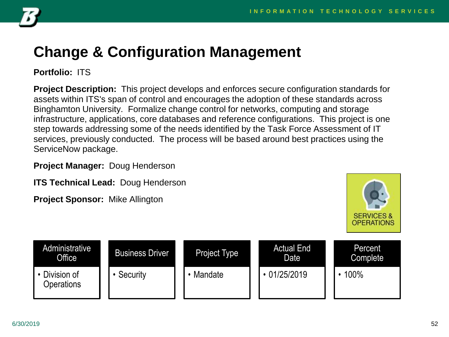

# **Change & Configuration Management**

**Portfolio:** ITS

**Project Description:** This project develops and enforces secure configuration standards for assets within ITS's span of control and encourages the adoption of these standards across Binghamton University. Formalize change control for networks, computing and storage infrastructure, applications, core databases and reference configurations. This project is one step towards addressing some of the needs identified by the Task Force Assessment of IT services, previously conducted. The process will be based around best practices using the ServiceNow package.

**Project Manager:** Doug Henderson

**ITS Technical Lead:** Doug Henderson

**Project Sponsor:** Mike Allington



| Administrative<br>Office  | <b>Business Driver</b> | Project Type | <b>Actual End</b><br>Date | Percent<br>Complete |
|---------------------------|------------------------|--------------|---------------------------|---------------------|
| Division of<br>Operations | Security               | • Mandate    | 01/25/2019                | 100%                |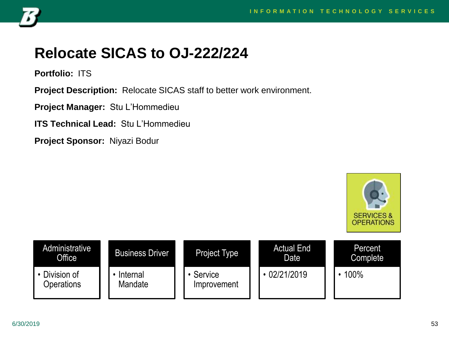**SERVICES &** 



# **Relocate SICAS to OJ-222/224**

**Portfolio:** ITS

**Project Description:** Relocate SICAS staff to better work environment.

**Project Manager:** Stu L'Hommedieu

**ITS Technical Lead:** Stu L'Hommedieu

**Project Sponsor:** Niyazi Bodur

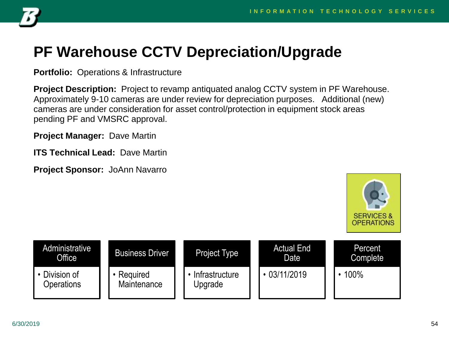

# **PF Warehouse CCTV Depreciation/Upgrade**

**Portfolio:** Operations & Infrastructure

**Project Description:** Project to revamp antiquated analog CCTV system in PF Warehouse. Approximately 9-10 cameras are under review for depreciation purposes. Additional (new) cameras are under consideration for asset control/protection in equipment stock areas pending PF and VMSRC approval.

**Project Manager:** Dave Martin

**ITS Technical Lead:** Dave Martin

**Project Sponsor:** JoAnn Navarro



| Administrative<br>Office  | <b>Business Driver</b>  | <b>Project Type</b>       | <b>Actual End</b><br>Date | Percent<br><b>Complete</b> |
|---------------------------|-------------------------|---------------------------|---------------------------|----------------------------|
| Division of<br>Operations | Required<br>Maintenance | Infrastructure<br>Upgrade | $\cdot$ 03/11/2019        | 100%                       |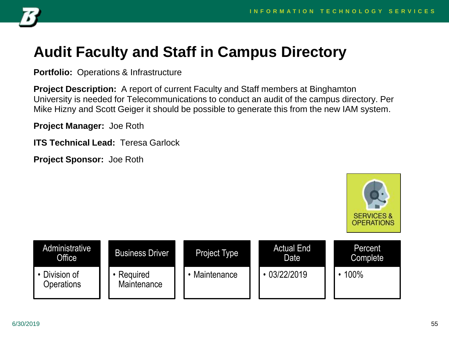

# **Audit Faculty and Staff in Campus Directory**

**Portfolio:** Operations & Infrastructure

**Project Description:** A report of current Faculty and Staff members at Binghamton University is needed for Telecommunications to conduct an audit of the campus directory. Per Mike Hizny and Scott Geiger it should be possible to generate this from the new IAM system.

**Project Manager:** Joe Roth

**ITS Technical Lead:** Teresa Garlock



| Administrative<br>Office <sup>1</sup> | <b>Business Driver</b>  | <b>Project Type</b> | <b>Actual End</b><br>Date | Percent<br><b>Complete</b> |
|---------------------------------------|-------------------------|---------------------|---------------------------|----------------------------|
| Division of<br>Operations             | Required<br>Maintenance | Maintenance         | 03/22/2019                | 100%                       |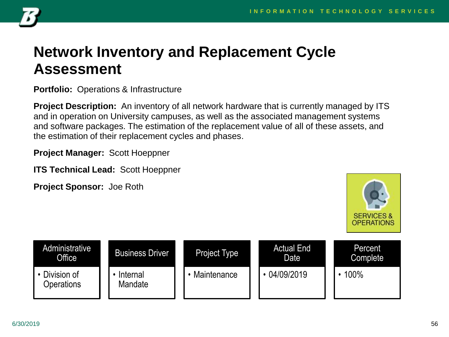

#### **Network Inventory and Replacement Cycle Assessment**

**Portfolio:** Operations & Infrastructure

**Project Description:** An inventory of all network hardware that is currently managed by ITS and in operation on University campuses, as well as the associated management systems and software packages. The estimation of the replacement value of all of these assets, and the estimation of their replacement cycles and phases.

**Project Manager:** Scott Hoeppner

**ITS Technical Lead:** Scott Hoeppner



| Administrative<br><b>Office</b> | <b>Business Driver</b> | <b>Project Type</b> | <b>Actual End</b><br>Date | Percent<br>Complete |
|---------------------------------|------------------------|---------------------|---------------------------|---------------------|
| • Division of<br>Operations     | Internal<br>Mandate    | • Maintenance       | 04/09/2019                | 100%                |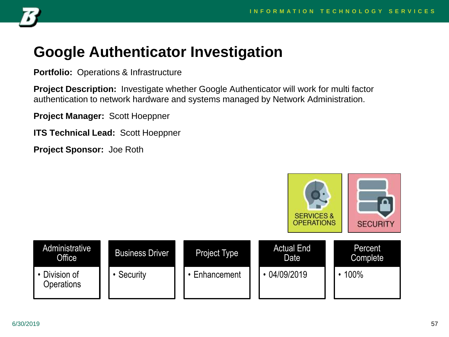

## **Google Authenticator Investigation**

**Portfolio:** Operations & Infrastructure

**Project Description:** Investigate whether Google Authenticator will work for multi factor authentication to network hardware and systems managed by Network Administration.

**Project Manager:** Scott Hoeppner

**ITS Technical Lead:** Scott Hoeppner

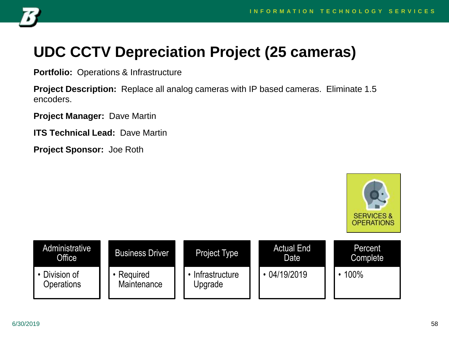

# **UDC CCTV Depreciation Project (25 cameras)**

**Portfolio:** Operations & Infrastructure

**Project Description:** Replace all analog cameras with IP based cameras. Eliminate 1.5 encoders.

**Project Manager:** Dave Martin

**ITS Technical Lead:** Dave Martin



| Administrative<br>Office  | <b>Business Driver</b>  | Project Type              | <b>Actual End</b><br>Date | Percent<br><b>Complete</b> |
|---------------------------|-------------------------|---------------------------|---------------------------|----------------------------|
| Division of<br>Operations | Required<br>Maintenance | Intrastructure<br>Upgrade | 04/19/2019                | 100%                       |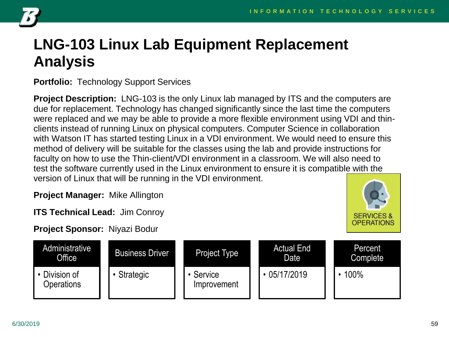

# **LNG-103 Linux Lab Equipment Replacement Analysis**

**Portfolio:** Technology Support Services

**Project Description:** LNG-103 is the only Linux lab managed by ITS and the computers are due for replacement. Technology has changed significantly since the last time the computers were replaced and we may be able to provide a more flexible environment using VDI and thinclients instead of running Linux on physical computers. Computer Science in collaboration with Watson IT has started testing Linux in a VDI environment. We would need to ensure this method of delivery will be suitable for the classes using the lab and provide instructions for faculty on how to use the Thin-client/VDI environment in a classroom. We will also need to test the software currently used in the Linux environment to ensure it is compatible with the version of Linux that will be running in the VDI environment.

**Project Manager:** Mike Allington

**ITS Technical Lead:** Jim Conroy

**Project Sponsor:** Niyazi Bodur



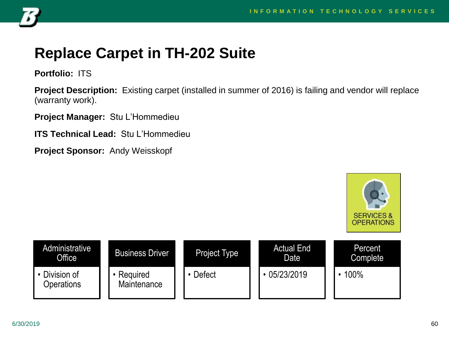

# **Replace Carpet in TH-202 Suite**

**Portfolio:** ITS

**Project Description:** Existing carpet (installed in summer of 2016) is failing and vendor will replace (warranty work).

**Project Manager:** Stu L'Hommedieu

**ITS Technical Lead:** Stu L'Hommedieu

**Project Sponsor:** Andy Weisskopf



| Administrative<br>Office  | <b>Business Driver</b>  | Project Type | <b>Actual End</b><br>Date | Percent<br><b>Complete</b> |
|---------------------------|-------------------------|--------------|---------------------------|----------------------------|
| Division of<br>Operations | Required<br>Maintenance | Defect       | 05/23/2019                | 100%                       |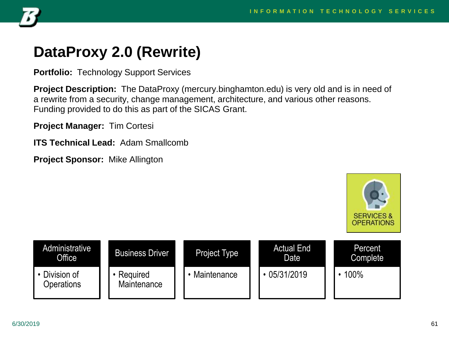

## **DataProxy 2.0 (Rewrite)**

**Portfolio:** Technology Support Services

**Project Description:** The DataProxy (mercury.binghamton.edu) is very old and is in need of a rewrite from a security, change management, architecture, and various other reasons. Funding provided to do this as part of the SICAS Grant.

**Project Manager:** Tim Cortesi

**ITS Technical Lead:** Adam Smallcomb

**Project Sponsor:** Mike Allington



| Administrative<br>Office  | <b>Business Driver</b>  | Project Type  | <b>Actual End</b><br>Date | Percent<br><b>Complete</b> |
|---------------------------|-------------------------|---------------|---------------------------|----------------------------|
| Division of<br>Operations | Required<br>Maintenance | • Maintenance | 05/31/2019                | 100%                       |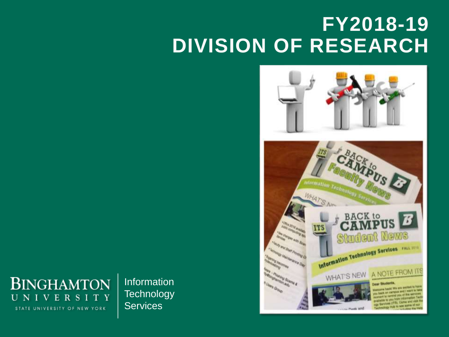# **FY2018-19 DIVISION OF RESEARCH**



**BINGHAMTON** UNIVERSITY STATE UNIVERSITY OF NEW YORK

Information **Technology Services**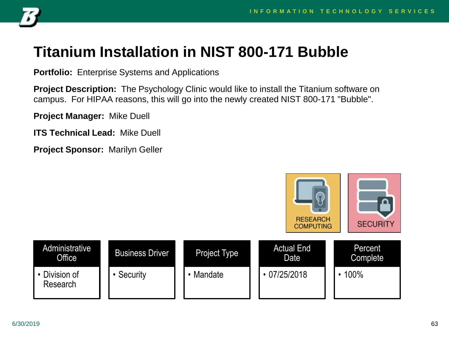

## **Titanium Installation in NIST 800-171 Bubble**

**Portfolio:** Enterprise Systems and Applications

**Project Description:** The Psychology Clinic would like to install the Titanium software on campus. For HIPAA reasons, this will go into the newly created NIST 800-171 "Bubble".

**Project Manager:** Mike Duell

**ITS Technical Lead:** Mike Duell

**Project Sponsor:** Marilyn Geller

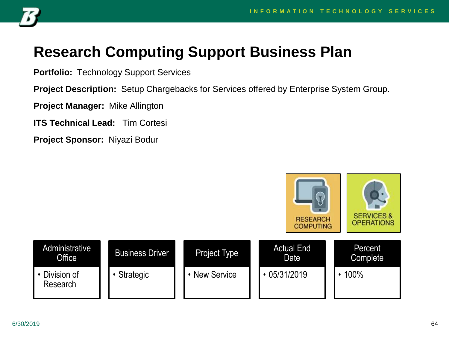

# **Research Computing Support Business Plan**

**Portfolio:** Technology Support Services

**Project Description:** Setup Chargebacks for Services offered by Enterprise System Group.

**Project Manager:** Mike Allington

**ITS Technical Lead:** Tim Cortesi

**Project Sponsor:** Niyazi Bodur

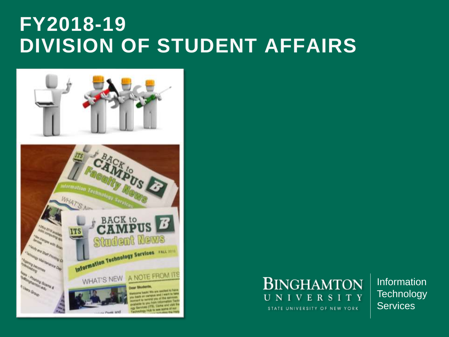# **FY2018-19 DIVISION OF STUDENT AFFAIRS**





Information **Technology Services**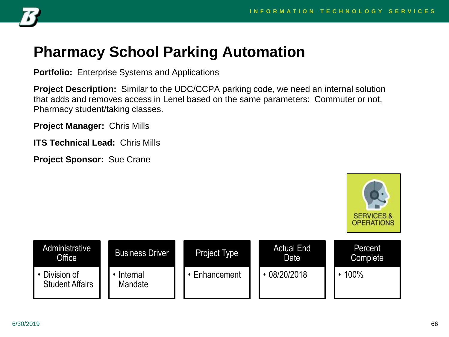

## **Pharmacy School Parking Automation**

**Portfolio:** Enterprise Systems and Applications

**Project Description:** Similar to the UDC/CCPA parking code, we need an internal solution that adds and removes access in Lenel based on the same parameters: Commuter or not, Pharmacy student/taking classes.

**Project Manager:** Chris Mills

**ITS Technical Lead:** Chris Mills

**Project Sponsor:** Sue Crane



| Administrative<br>Office                | <b>Business Driver</b> | <b>Project Type</b> | <b>Actual End</b><br>Date | Percent<br><b>Complete</b> |
|-----------------------------------------|------------------------|---------------------|---------------------------|----------------------------|
| • Division of<br><b>Student Affairs</b> | Internal<br>Mandate    | Enhancement         | 08/20/2018                | 100%                       |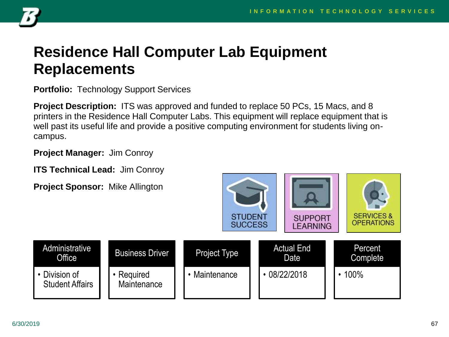

## **Residence Hall Computer Lab Equipment Replacements**

**Portfolio:** Technology Support Services

**Project Description:** ITS was approved and funded to replace 50 PCs, 15 Macs, and 8 printers in the Residence Hall Computer Labs. This equipment will replace equipment that is well past its useful life and provide a positive computing environment for students living oncampus.

**Project Manager:** Jim Conroy

**ITS Technical Lead:** Jim Conroy

**Project Sponsor:** Mike Allington

**Office** 

• Division of

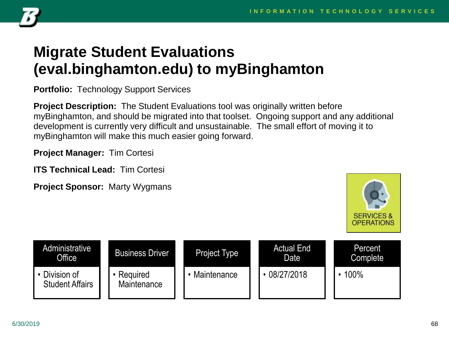

# **Migrate Student Evaluations (eval.binghamton.edu) to myBinghamton**

**Portfolio:** Technology Support Services

**Project Description:** The Student Evaluations tool was originally written before myBinghamton, and should be migrated into that toolset. Ongoing support and any additional development is currently very difficult and unsustainable. The small effort of moving it to myBinghamton will make this much easier going forward.

**Project Manager:** Tim Cortesi

**ITS Technical Lead:** Tim Cortesi

**Project Sponsor:** Marty Wygmans



| Administrative<br>Office              | <b>Business Driver</b>  | <b>Project Type</b> | <b>Actual End</b><br>Date | Percent<br>Complete |
|---------------------------------------|-------------------------|---------------------|---------------------------|---------------------|
| Division of<br><b>Student Affairs</b> | Required<br>Maintenance | • Maintenance       | 08/27/2018                | 100%                |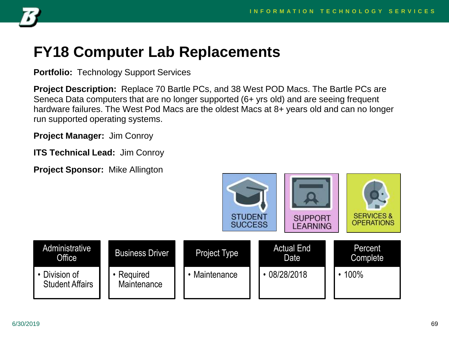

## **FY18 Computer Lab Replacements**

**Portfolio:** Technology Support Services

**Project Description:** Replace 70 Bartle PCs, and 38 West POD Macs. The Bartle PCs are Seneca Data computers that are no longer supported (6+ yrs old) and are seeing frequent hardware failures. The West Pod Macs are the oldest Macs at 8+ years old and can no longer run supported operating systems.

**Project Manager:** Jim Conroy

**ITS Technical Lead:** Jim Conroy

**Project Sponsor:** Mike Allington

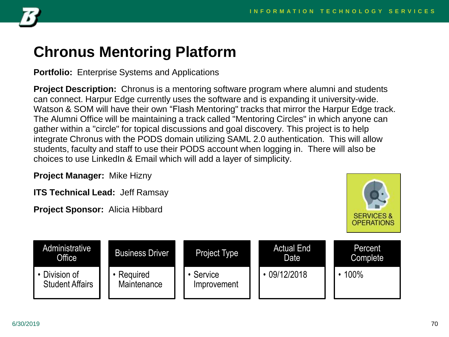

## **Chronus Mentoring Platform**

**Portfolio:** Enterprise Systems and Applications

**Project Description:** Chronus is a mentoring software program where alumni and students can connect. Harpur Edge currently uses the software and is expanding it university-wide. Watson & SOM will have their own "Flash Mentoring" tracks that mirror the Harpur Edge track. The Alumni Office will be maintaining a track called "Mentoring Circles" in which anyone can gather within a "circle" for topical discussions and goal discovery. This project is to help integrate Chronus with the PODS domain utilizing SAML 2.0 authentication. This will allow students, faculty and staff to use their PODS account when logging in. There will also be choices to use LinkedIn & Email which will add a layer of simplicity.

**Project Manager:** Mike Hizny

**ITS Technical Lead:** Jeff Ramsay

**Project Sponsor:** Alicia Hibbard



| Administrative<br>Office              | <b>Business Driver</b>  | <b>Project Type</b>    | <b>Actual End</b><br>Date | Percent<br>Complete |
|---------------------------------------|-------------------------|------------------------|---------------------------|---------------------|
| Division of<br><b>Student Affairs</b> | Required<br>Maintenance | Service<br>Improvement | $\cdot$ 09/12/2018        | 100%                |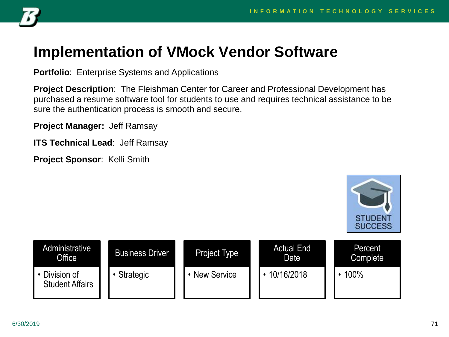

## **Implementation of VMock Vendor Software**

**Portfolio**: Enterprise Systems and Applications

**Project Description**: The Fleishman Center for Career and Professional Development has purchased a resume software tool for students to use and requires technical assistance to be sure the authentication process is smooth and secure.

**Project Manager:** Jeff Ramsay

**ITS Technical Lead**: Jeff Ramsay

**Project Sponsor**: Kelli Smith



| Administrative<br>Office                | <b>Business Driver</b> | <b>Project Type</b> | <b>Actual End</b><br>Date | Percent<br>Complete |
|-----------------------------------------|------------------------|---------------------|---------------------------|---------------------|
| • Division of<br><b>Student Affairs</b> | Strategic              | <b>New Service</b>  | 10/16/2018                | 100%                |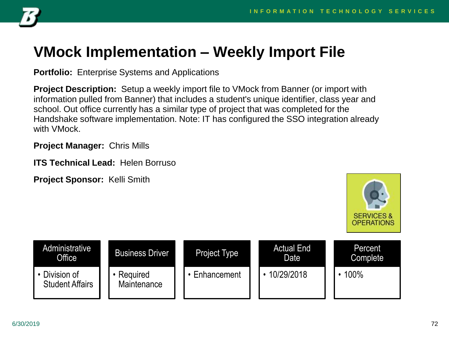

## **VMock Implementation – Weekly Import File**

**Portfolio:** Enterprise Systems and Applications

**Project Description:** Setup a weekly import file to VMock from Banner (or import with information pulled from Banner) that includes a student's unique identifier, class year and school. Out office currently has a similar type of project that was completed for the Handshake software implementation. Note: IT has configured the SSO integration already with VMock.

**Project Manager:** Chris Mills

**ITS Technical Lead:** Helen Borruso

**Project Sponsor:** Kelli Smith



| <b>Administrative</b><br>Office <sup>1</sup> | <b>Business Driver</b>  | Project Type  | <b>Actual End</b><br>Date | Percent<br>Complete |
|----------------------------------------------|-------------------------|---------------|---------------------------|---------------------|
| Division of<br><b>Student Affairs</b>        | Required<br>Maintenance | • Enhancement | 10/29/2018                | 100%                |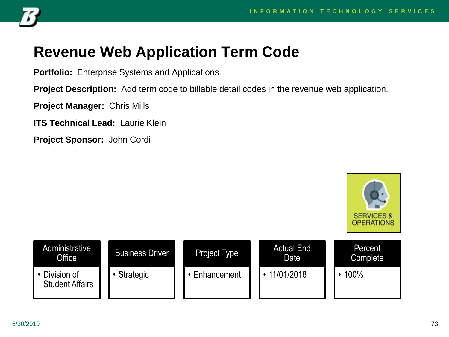

### **Revenue Web Application Term Code**

**Portfolio:** Enterprise Systems and Applications

**Project Description:** Add term code to billable detail codes in the revenue web application.

**Project Manager:** Chris Mills

**ITS Technical Lead:** Laurie Klein

**Project Sponsor:** John Cordi

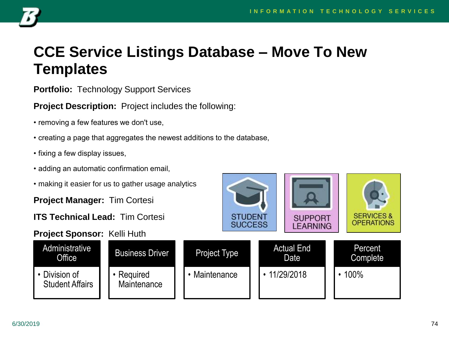**SERVICES &** 

**OPERATIONS** 

**SUPPORT** 

**LEARNING** 



### **CCE Service Listings Database – Move To New Templates**

**Portfolio:** Technology Support Services

**Project Description:** Project includes the following:

- removing a few features we don't use,
- creating a page that aggregates the newest additions to the database,
- fixing a few display issues,
- adding an automatic confirmation email,
- making it easier for us to gather usage analytics

**Project Manager:** Tim Cortesi

**ITS Technical Lead:** Tim Cortesi

#### **Project Sponsor:** Kelli Huth



**STUDENT** 

**SUCCESS**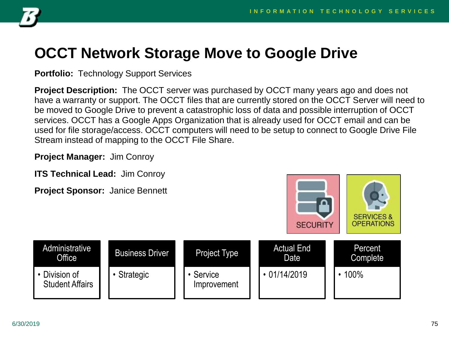

### **OCCT Network Storage Move to Google Drive**

**Portfolio:** Technology Support Services

**Project Description:** The OCCT server was purchased by OCCT many years ago and does not have a warranty or support. The OCCT files that are currently stored on the OCCT Server will need to be moved to Google Drive to prevent a catastrophic loss of data and possible interruption of OCCT services. OCCT has a Google Apps Organization that is already used for OCCT email and can be used for file storage/access. OCCT computers will need to be setup to connect to Google Drive File Stream instead of mapping to the OCCT File Share.

**Project Manager:** Jim Conroy

**ITS Technical Lead:** Jim Conroy

**Project Sponsor:** Janice Bennett



| Administrative<br><b>Office</b>         | <b>Business Driver</b> | Project Type           | <b>Actual End</b><br>Date | Percent<br>Complete |
|-----------------------------------------|------------------------|------------------------|---------------------------|---------------------|
| • Division of<br><b>Student Affairs</b> | • Strategic            | Service<br>Improvement | $\cdot$ 01/14/2019        | 100%                |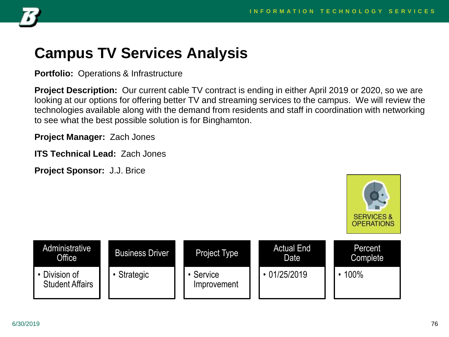

#### **Campus TV Services Analysis**

**Portfolio:** Operations & Infrastructure

**Project Description:** Our current cable TV contract is ending in either April 2019 or 2020, so we are looking at our options for offering better TV and streaming services to the campus. We will review the technologies available along with the demand from residents and staff in coordination with networking to see what the best possible solution is for Binghamton.

**Project Manager:** Zach Jones

**ITS Technical Lead:** Zach Jones

**Project Sponsor:** J.J. Brice



| <b>Administrative</b><br>Office <sup>1</sup> | <b>Business Driver</b> | <b>Project Type</b>      | <b>Actual End</b><br>Date | Percent<br><b>Complete</b> |
|----------------------------------------------|------------------------|--------------------------|---------------------------|----------------------------|
| • Division of<br><b>Student Affairs</b>      | Strategic              | • Service<br>Improvement | $\cdot$ 01/25/2019        | 100%                       |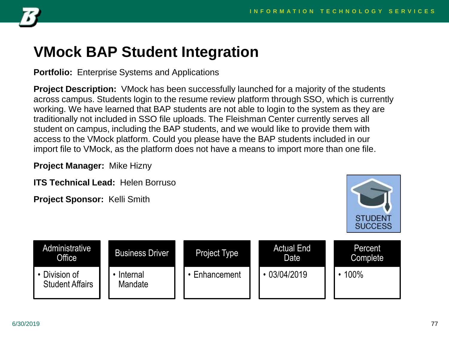

#### **VMock BAP Student Integration**

**Portfolio:** Enterprise Systems and Applications

**Project Description:** VMock has been successfully launched for a majority of the students across campus. Students login to the resume review platform through SSO, which is currently working. We have learned that BAP students are not able to login to the system as they are traditionally not included in SSO file uploads. The Fleishman Center currently serves all student on campus, including the BAP students, and we would like to provide them with access to the VMock platform. Could you please have the BAP students included in our import file to VMock, as the platform does not have a means to import more than one file.

**Project Manager:** Mike Hizny

**ITS Technical Lead:** Helen Borruso

**Project Sponsor:** Kelli Smith



| Administrative<br><b>Office</b>       | <b>Business Driver</b> | <b>Project Type</b> | <b>Actual End</b><br>Date | Percent<br>Complete |
|---------------------------------------|------------------------|---------------------|---------------------------|---------------------|
| Division of<br><b>Student Affairs</b> | Internal<br>Mandate    | Enhancement         | 03/04/2019                | 100%                |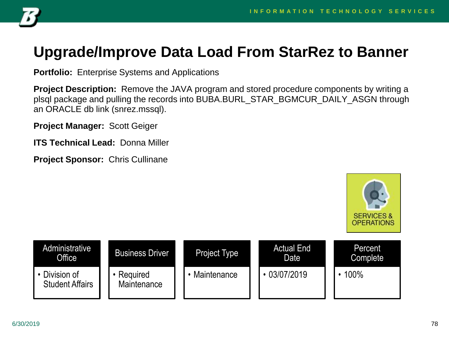

#### **Upgrade/Improve Data Load From StarRez to Banner**

**Portfolio:** Enterprise Systems and Applications

**Project Description:** Remove the JAVA program and stored procedure components by writing a plsql package and pulling the records into BUBA.BURL\_STAR\_BGMCUR\_DAILY\_ASGN through an ORACLE db link (snrez.mssql).

**Project Manager:** Scott Geiger

**ITS Technical Lead:** Donna Miller

**Project Sponsor:** Chris Cullinane



| Administrative<br>Office              | <b>Business Driver</b>  | <b>Project Type</b> | <b>Actual End</b><br>Date | Percent<br><b>Complete</b> |
|---------------------------------------|-------------------------|---------------------|---------------------------|----------------------------|
| Division of<br><b>Student Affairs</b> | Required<br>Maintenance | • Maintenance       | 03/07/2019                | 100%                       |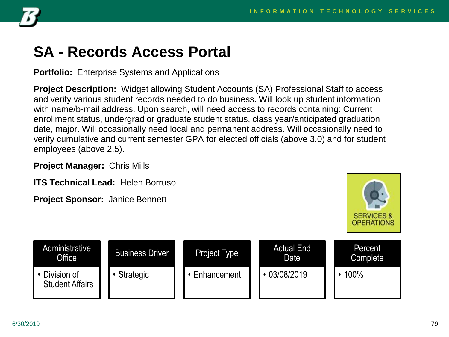

#### **SA - Records Access Portal**

**Portfolio:** Enterprise Systems and Applications

**Project Description:** Widget allowing Student Accounts (SA) Professional Staff to access and verify various student records needed to do business. Will look up student information with name/b-mail address. Upon search, will need access to records containing: Current enrollment status, undergrad or graduate student status, class year/anticipated graduation date, major. Will occasionally need local and permanent address. Will occasionally need to verify cumulative and current semester GPA for elected officials (above 3.0) and for student employees (above 2.5).

**Project Manager:** Chris Mills

**ITS Technical Lead:** Helen Borruso

**Project Sponsor:** Janice Bennett



| <b>Administrative</b><br>Office <sup>1</sup> | <b>Business Driver</b> | Project Type | <b>Actual End</b><br>Date | <b>Percent</b><br>Complete |
|----------------------------------------------|------------------------|--------------|---------------------------|----------------------------|
| Division of<br><b>Student Affairs</b>        | Strategic              | Enhancement  | 03/08/2019                | 100%                       |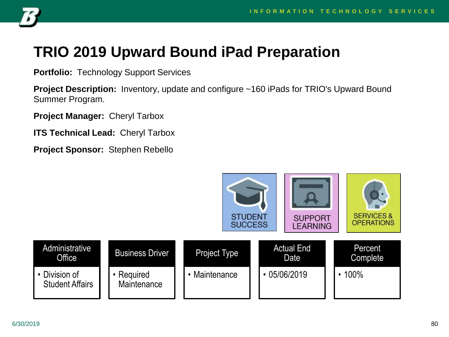

### **TRIO 2019 Upward Bound iPad Preparation**

**Portfolio:** Technology Support Services

**Project Description:** Inventory, update and configure ~160 iPads for TRIO's Upward Bound Summer Program.

**Project Manager:** Cheryl Tarbox

**ITS Technical Lead:** Cheryl Tarbox

**Project Sponsor:** Stephen Rebello

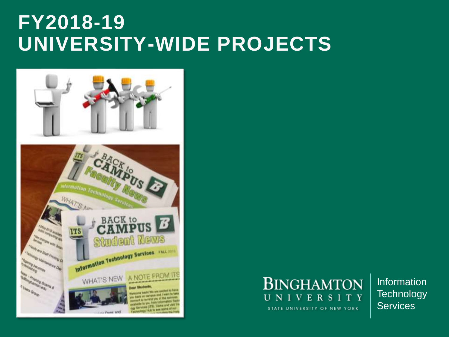# **FY2018-19 UNIVERSITY-WIDE PROJECTS**





Information **Technology Services**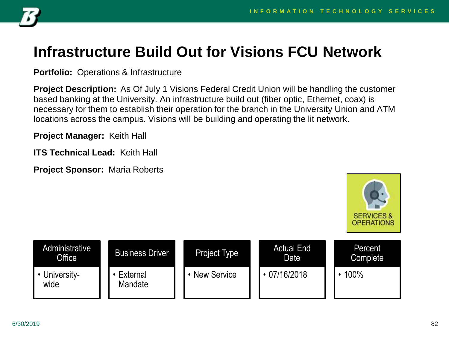

## **Infrastructure Build Out for Visions FCU Network**

**Portfolio:** Operations & Infrastructure

**Project Description:** As Of July 1 Visions Federal Credit Union will be handling the customer based banking at the University. An infrastructure build out (fiber optic, Ethernet, coax) is necessary for them to establish their operation for the branch in the University Union and ATM locations across the campus. Visions will be building and operating the lit network.

**Project Manager:** Keith Hall

**ITS Technical Lead:** Keith Hall

**Project Sponsor:** Maria Roberts



| Administrative<br>Office <sup>1</sup> | <b>Business Driver</b> | <b>Project Type</b> | <b>Actual End</b><br>Date | Percent<br><b>Complete</b> |
|---------------------------------------|------------------------|---------------------|---------------------------|----------------------------|
| University-<br>wide                   | External<br>Mandate    | <b>New Service</b>  | 07/16/2018                | 100%                       |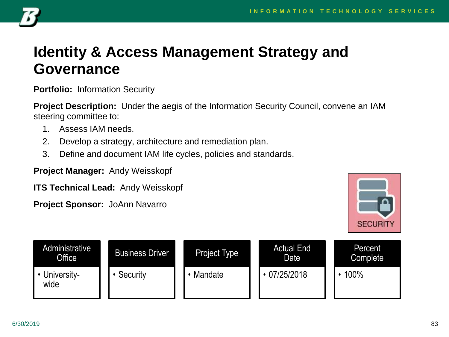

#### **Identity & Access Management Strategy and Governance**

**Portfolio:** Information Security

**Project Description:** Under the aegis of the Information Security Council, convene an IAM steering committee to:

- 1. Assess IAM needs.
- 2. Develop a strategy, architecture and remediation plan.
- 3. Define and document IAM life cycles, policies and standards.

**Project Manager:** Andy Weisskopf

**ITS Technical Lead:** Andy Weisskopf



| Administrative<br>Office | <b>Business Driver</b> | <b>Project Type</b> | <b>Actual End</b><br>Date | Percent<br>Complete |
|--------------------------|------------------------|---------------------|---------------------------|---------------------|
| • University-<br>wide    | Security               | Mandate             | 07/25/2018                | 100%                |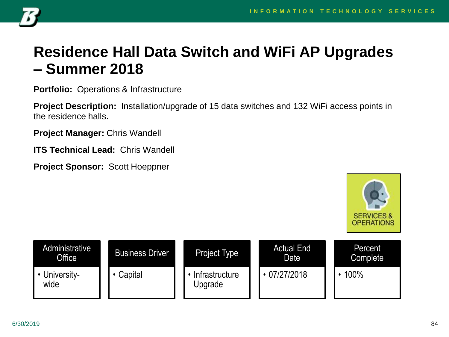

### **Residence Hall Data Switch and WiFi AP Upgrades – Summer 2018**

**Portfolio:** Operations & Infrastructure

**Project Description:** Installation/upgrade of 15 data switches and 132 WiFi access points in the residence halls.

**Project Manager:** Chris Wandell

**ITS Technical Lead:** Chris Wandell

**Project Sponsor:** Scott Hoeppner



| Administrative<br>Office | <b>Business Driver</b> | Project Type              | <b>Actual End</b><br>Date | Percent<br>Complete |
|--------------------------|------------------------|---------------------------|---------------------------|---------------------|
| University-<br>wide      | Capital                | Infrastructure<br>Upgrade | 07/27/2018                | 100%                |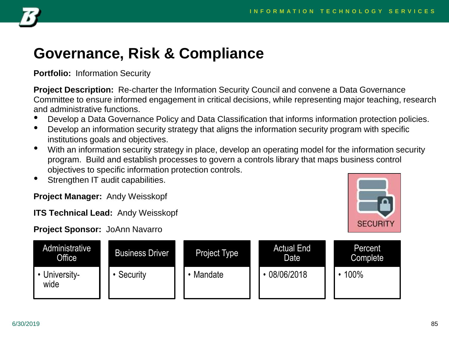

## **Governance, Risk & Compliance**

**Portfolio:** Information Security

**Project Description:** Re-charter the Information Security Council and convene a Data Governance Committee to ensure informed engagement in critical decisions, while representing major teaching, research and administrative functions.

- Develop a Data Governance Policy and Data Classification that informs information protection policies.
- Develop an information security strategy that aligns the information security program with specific institutions goals and objectives.
- With an information security strategy in place, develop an operating model for the information security program. Build and establish processes to govern a controls library that maps business control objectives to specific information protection controls.
- Strengthen IT audit capabilities.

**Project Manager:** Andy Weisskopf

**ITS Technical Lead:** Andy Weisskopf



Administrative Office • Universitywide Business Driver • Security Project Type • Mandate Actual End Date • 08/06/2018 Percent Complete • 100%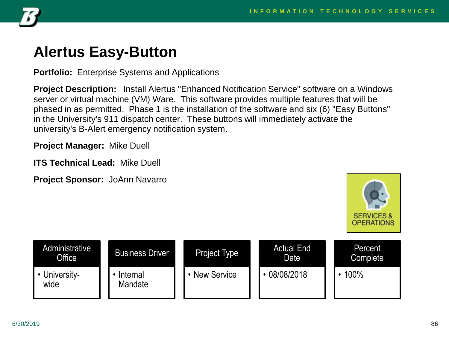

#### **Alertus Easy-Button**

**Portfolio:** Enterprise Systems and Applications

**Project Description:** Install Alertus "Enhanced Notification Service" software on a Windows server or virtual machine (VM) Ware. This software provides multiple features that will be phased in as permitted. Phase 1 is the installation of the software and six (6) "Easy Buttons" in the University's 911 dispatch center. These buttons will immediately activate the university's B-Alert emergency notification system.

**Project Manager:** Mike Duell

**ITS Technical Lead:** Mike Duell



| Administrative<br><b>Office</b> | <b>Business Driver</b> | <b>Project Type</b> | <b>Actual End</b><br>Date | Percent<br>Complete |
|---------------------------------|------------------------|---------------------|---------------------------|---------------------|
| University-<br>wide             | Internal<br>Mandate    | • New Service       | 08/08/2018                | 100%                |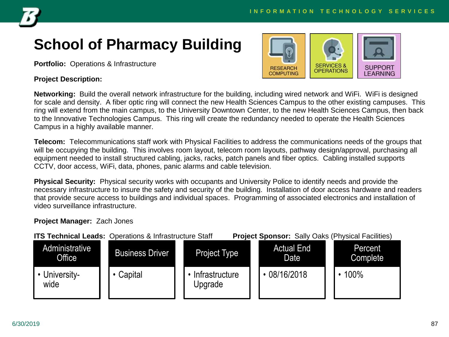

# **School of Pharmacy Building**

**Portfolio:** Operations & Infrastructure

#### **Project Description:**



**Networking:** Build the overall network infrastructure for the building, including wired network and WiFi. WiFi is designed for scale and density. A fiber optic ring will connect the new Health Sciences Campus to the other existing campuses. This ring will extend from the main campus, to the University Downtown Center, to the new Health Sciences Campus, then back to the Innovative Technologies Campus. This ring will create the redundancy needed to operate the Health Sciences Campus in a highly available manner.

**Telecom:** Telecommunications staff work with Physical Facilities to address the communications needs of the groups that will be occupying the building. This involves room layout, telecom room layouts, pathway design/approval, purchasing all equipment needed to install structured cabling, jacks, racks, patch panels and fiber optics. Cabling installed supports CCTV, door access, WiFi, data, phones, panic alarms and cable television.

**Physical Security:** Physical security works with occupants and University Police to identify needs and provide the necessary infrastructure to insure the safety and security of the building. Installation of door access hardware and readers that provide secure access to buildings and individual spaces. Programming of associated electronics and installation of video surveillance infrastructure.

#### **Project Manager:** Zach Jones

|                          | <b>ITS Technical Leads: Operations &amp; Infrastructure Staff</b> |                           | <b>Project Sponsor:</b> Sally Oaks (Physical Facilities) |                     |
|--------------------------|-------------------------------------------------------------------|---------------------------|----------------------------------------------------------|---------------------|
| Administrative<br>Office | <b>Business Driver</b>                                            | <b>Project Type</b>       | <b>Actual End</b><br>Date                                | Percent<br>Complete |
| • University-<br>wide    | Capital                                                           | Infrastructure<br>Upgrade | $\cdot$ 08/16/2018                                       | 100%                |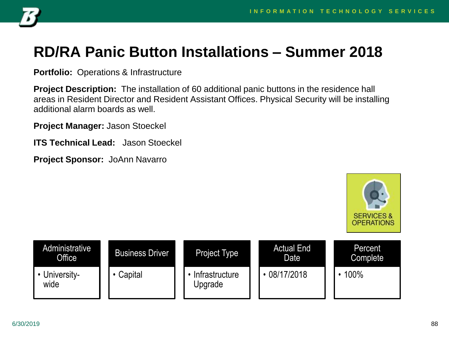

### **RD/RA Panic Button Installations – Summer 2018**

**Portfolio:** Operations & Infrastructure

**Project Description:** The installation of 60 additional panic buttons in the residence hall areas in Resident Director and Resident Assistant Offices. Physical Security will be installing additional alarm boards as well.

**Project Manager:** Jason Stoeckel

**ITS Technical Lead:** Jason Stoeckel



| <b>Administrative</b><br><b>Office</b> | <b>Business Driver</b> | Project Type              | <b>Actual End</b><br>Date | Percent<br>Complete |
|----------------------------------------|------------------------|---------------------------|---------------------------|---------------------|
| University-<br>wide                    | Capital                | Infrastructure<br>Upgrade | 08/17/2018                | 100%                |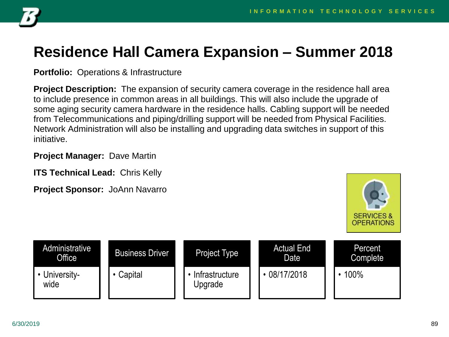

#### **Residence Hall Camera Expansion – Summer 2018**

**Portfolio:** Operations & Infrastructure

**Project Description:** The expansion of security camera coverage in the residence hall area to include presence in common areas in all buildings. This will also include the upgrade of some aging security camera hardware in the residence halls. Cabling support will be needed from Telecommunications and piping/drilling support will be needed from Physical Facilities. Network Administration will also be installing and upgrading data switches in support of this initiative.

**Project Manager:** Dave Martin

**ITS Technical Lead:** Chris Kelly



| Administrative<br><b>Office</b> | <b>Business Driver</b> | Project Type              | <b>Actual End</b><br>Date | Percent<br>Complete |
|---------------------------------|------------------------|---------------------------|---------------------------|---------------------|
| University-<br>wide             | Capital                | Infrastructure<br>Upgrade | 08/17/2018                | 100%                |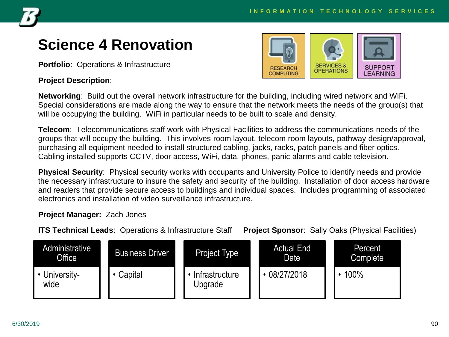

#### **Science 4 Renovation**

**Portfolio**: Operations & Infrastructure

#### **Project Description**:



**Networking**: Build out the overall network infrastructure for the building, including wired network and WiFi. Special considerations are made along the way to ensure that the network meets the needs of the group(s) that will be occupying the building. WiFi in particular needs to be built to scale and density.

**Telecom**: Telecommunications staff work with Physical Facilities to address the communications needs of the groups that will occupy the building. This involves room layout, telecom room layouts, pathway design/approval, purchasing all equipment needed to install structured cabling, jacks, racks, patch panels and fiber optics. Cabling installed supports CCTV, door access, WiFi, data, phones, panic alarms and cable television.

**Physical Security**: Physical security works with occupants and University Police to identify needs and provide the necessary infrastructure to insure the safety and security of the building. Installation of door access hardware and readers that provide secure access to buildings and individual spaces. Includes programming of associated electronics and installation of video surveillance infrastructure.

#### **Project Manager:** Zach Jones

**ITS Technical Leads**: Operations & Infrastructure Staff **Project Sponsor**: Sally Oaks (Physical Facilities)

| Administrative<br>Office <sup>1</sup> | <b>Business Driver</b> | Project Type              | <b>Actual End</b><br>Date | <b>Percent</b><br>Complete |
|---------------------------------------|------------------------|---------------------------|---------------------------|----------------------------|
| <b>• University-</b><br>wide          | Capital                | Intrastructure<br>Upgrade | 08/27/2018                | 100%                       |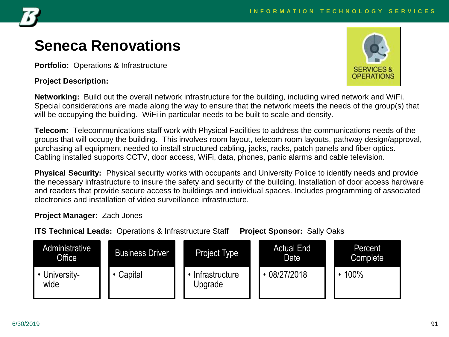

### **Seneca Renovations**

**Portfolio:** Operations & Infrastructure

#### **Project Description:**



**Networking:** Build out the overall network infrastructure for the building, including wired network and WiFi. Special considerations are made along the way to ensure that the network meets the needs of the group(s) that will be occupying the building. WiFi in particular needs to be built to scale and density.

**Telecom:** Telecommunications staff work with Physical Facilities to address the communications needs of the groups that will occupy the building. This involves room layout, telecom room layouts, pathway design/approval, purchasing all equipment needed to install structured cabling, jacks, racks, patch panels and fiber optics. Cabling installed supports CCTV, door access, WiFi, data, phones, panic alarms and cable television.

**Physical Security:** Physical security works with occupants and University Police to identify needs and provide the necessary infrastructure to insure the safety and security of the building. Installation of door access hardware and readers that provide secure access to buildings and individual spaces. Includes programming of associated electronics and installation of video surveillance infrastructure.

#### **Project Manager:** Zach Jones

**ITS Technical Leads:** Operations & Infrastructure Staff **Project Sponsor:** Sally Oaks

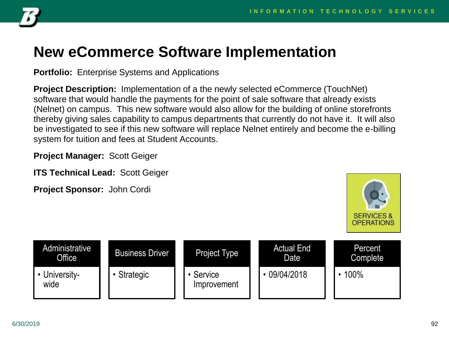

#### **New eCommerce Software Implementation**

**Portfolio:** Enterprise Systems and Applications

**Project Description:** Implementation of a the newly selected eCommerce (TouchNet) software that would handle the payments for the point of sale software that already exists (Nelnet) on campus. This new software would also allow for the building of online storefronts thereby giving sales capability to campus departments that currently do not have it. It will also be investigated to see if this new software will replace Nelnet entirely and become the e-billing system for tuition and fees at Student Accounts.

**Project Manager:** Scott Geiger

**ITS Technical Lead: Scott Geiger** 

**Project Sponsor:** John Cordi



| Administrative<br>Office | <b>Business Driver</b> | Project Type           | <b>Actual End</b><br>Date | Percent<br><b>Complete</b> |
|--------------------------|------------------------|------------------------|---------------------------|----------------------------|
| University-<br>wide      | Strategic              | Service<br>Improvement | 09/04/2018                | 100%                       |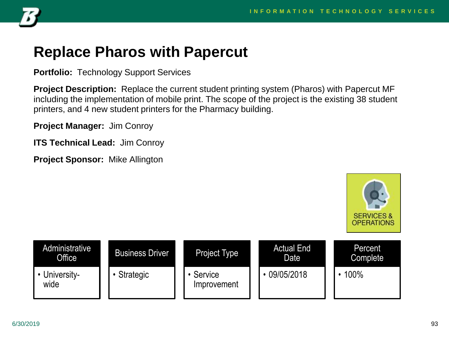

#### **Replace Pharos with Papercut**

**Portfolio:** Technology Support Services

**Project Description:** Replace the current student printing system (Pharos) with Papercut MF including the implementation of mobile print. The scope of the project is the existing 38 student printers, and 4 new student printers for the Pharmacy building.

**Project Manager:** Jim Conroy

**ITS Technical Lead:** Jim Conroy

**Project Sponsor:** Mike Allington



| Administrative<br><b>Office</b> | <b>Business Driver</b> | <b>Project Type</b>    | <b>Actual End</b><br><b>Date</b> | <b>Percent</b><br>Complete |
|---------------------------------|------------------------|------------------------|----------------------------------|----------------------------|
| University-<br>wide             | <b>Strategic</b>       | Service<br>Improvement | 09/05/2018                       | 100%                       |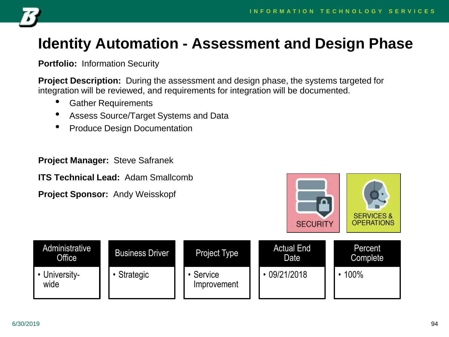

## **Identity Automation - Assessment and Design Phase**

**Portfolio:** Information Security

**Project Description:** During the assessment and design phase, the systems targeted for integration will be reviewed, and requirements for integration will be documented.

- Gather Requirements
- Assess Source/Target Systems and Data
- Produce Design Documentation

**Project Manager:** Steve Safranek

**ITS Technical Lead:** Adam Smallcomb

**Project Sponsor:** Andy Weisskopf



| Administrative l<br>Office | <b>Business Driver</b> | Project Type           | <b>Actual End</b><br>Date | Percent<br><b>Complete</b> |
|----------------------------|------------------------|------------------------|---------------------------|----------------------------|
| • University-<br>wide      | Strategic              | Service<br>Improvement | $\cdot$ 09/21/2018        | 100%                       |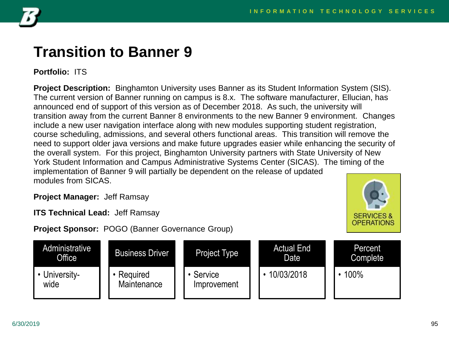**SERVICES &** 



#### **Transition to Banner 9**

**Portfolio:** ITS

**Project Description:** Binghamton University uses Banner as its Student Information System (SIS). The current version of Banner running on campus is 8.x. The software manufacturer, Ellucian, has announced end of support of this version as of December 2018. As such, the university will transition away from the current Banner 8 environments to the new Banner 9 environment. Changes include a new user navigation interface along with new modules supporting student registration, course scheduling, admissions, and several others functional areas. This transition will remove the need to support older java versions and make future upgrades easier while enhancing the security of the overall system. For this project, Binghamton University partners with State University of New York Student Information and Campus Administrative Systems Center (SICAS). The timing of the implementation of Banner 9 will partially be dependent on the release of updated modules from SICAS.

**Project Manager:** Jeff Ramsay

**ITS Technical Lead:** Jeff Ramsay

**Project Sponsor:** POGO (Banner Governance Group)

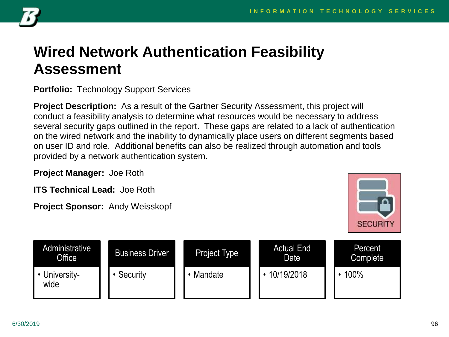

#### **Wired Network Authentication Feasibility Assessment**

#### **Portfolio:** Technology Support Services

**Project Description:** As a result of the Gartner Security Assessment, this project will conduct a feasibility analysis to determine what resources would be necessary to address several security gaps outlined in the report. These gaps are related to a lack of authentication on the wired network and the inability to dynamically place users on different segments based on user ID and role. Additional benefits can also be realized through automation and tools provided by a network authentication system.

**Project Manager:** Joe Roth

**ITS Technical Lead:** Joe Roth

**Project Sponsor:** Andy Weisskopf



| Administrative<br>Office <sup>1</sup> | <b>Business Driver</b> | Project Type | <b>Actual End</b><br>Date | Percent<br>Complete |
|---------------------------------------|------------------------|--------------|---------------------------|---------------------|
| University-<br>wide                   | Security               | Mandate      | 10/19/2018                | 100%                |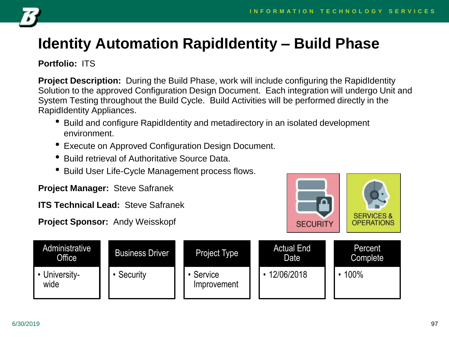

# **Identity Automation RapidIdentity – Build Phase**

#### **Portfolio:** ITS

**Project Description:** During the Build Phase, work will include configuring the RapidIdentity Solution to the approved Configuration Design Document. Each integration will undergo Unit and System Testing throughout the Build Cycle. Build Activities will be performed directly in the RapidIdentity Appliances.

- Build and configure RapidIdentity and metadirectory in an isolated development environment.
- Execute on Approved Configuration Design Document.
- Build retrieval of Authoritative Source Data.
- Build User Life-Cycle Management process flows.

**Project Manager:** Steve Safranek

**ITS Technical Lead:** Steve Safranek

**Project Sponsor:** Andy Weisskopf



| Administrative<br>Office | <b>Business Driver</b> | <b>Project Type</b>    | <b>Actual End</b><br>Date | <b>Percent</b><br>Complete |
|--------------------------|------------------------|------------------------|---------------------------|----------------------------|
| University-<br>wide      | Security               | Service<br>Improvement | 12/06/2018                | 100%                       |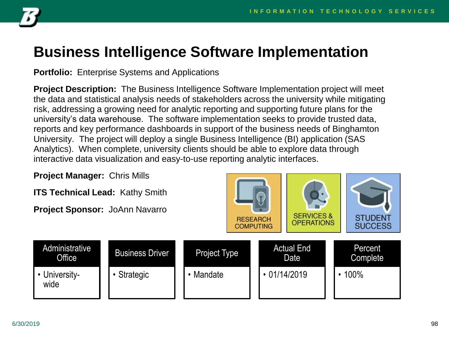

#### **Business Intelligence Software Implementation**

**Portfolio:** Enterprise Systems and Applications

**Project Description:** The Business Intelligence Software Implementation project will meet the data and statistical analysis needs of stakeholders across the university while mitigating risk, addressing a growing need for analytic reporting and supporting future plans for the university's data warehouse. The software implementation seeks to provide trusted data, reports and key performance dashboards in support of the business needs of Binghamton University. The project will deploy a single Business Intelligence (BI) application (SAS Analytics). When complete, university clients should be able to explore data through interactive data visualization and easy-to-use reporting analytic interfaces.

**Project Manager:** Chris Mills

**ITS Technical Lead:** Kathy Smith





| Administrative<br>Office | <b>Business Driver</b> | Project Type | <b>Actual End</b><br>Date | Percent<br>Complete |
|--------------------------|------------------------|--------------|---------------------------|---------------------|
| University-<br>wide      | <b>Strategic</b>       | Mandate      | $\cdot$ 01/14/2019        | 100%                |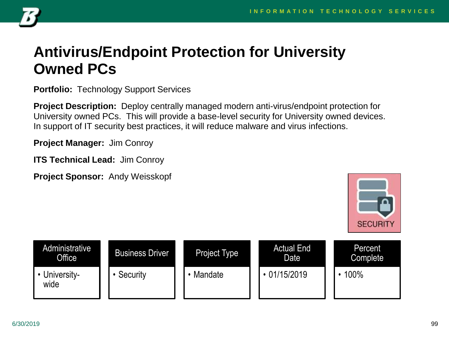

#### **Antivirus/Endpoint Protection for University Owned PCs**

**Portfolio:** Technology Support Services

**Project Description:** Deploy centrally managed modern anti-virus/endpoint protection for University owned PCs. This will provide a base-level security for University owned devices. In support of IT security best practices, it will reduce malware and virus infections.

**Project Manager:** Jim Conroy

**ITS Technical Lead:** Jim Conroy

**Project Sponsor:** Andy Weisskopf



| Administrative<br>Office | <b>Business Driver</b> | Project Type | <b>Actual End</b><br>Date <sup>'</sup> | Percent<br>Complete |
|--------------------------|------------------------|--------------|----------------------------------------|---------------------|
| University-<br>wide      | Security               | Mandate      | $\cdot$ 01/15/2019                     | 100%                |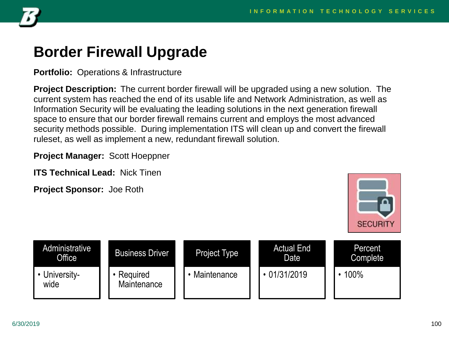

#### **Border Firewall Upgrade**

**Portfolio:** Operations & Infrastructure

**Project Description:** The current border firewall will be upgraded using a new solution. The current system has reached the end of its usable life and Network Administration, as well as Information Security will be evaluating the leading solutions in the next generation firewall space to ensure that our border firewall remains current and employs the most advanced security methods possible. During implementation ITS will clean up and convert the firewall ruleset, as well as implement a new, redundant firewall solution.

**Project Manager:** Scott Hoeppner

**ITS Technical Lead:** Nick Tinen

**Project Sponsor:** Joe Roth



| Administrative<br><b>Office</b> | <b>Business Driver</b>  | <b>Project Type</b> | <b>Actual End</b><br>Date | Percent<br>Complete |
|---------------------------------|-------------------------|---------------------|---------------------------|---------------------|
| University-<br>wide             | Required<br>Maintenance | Maintenance         | $\cdot$ 01/31/2019        | 100%                |